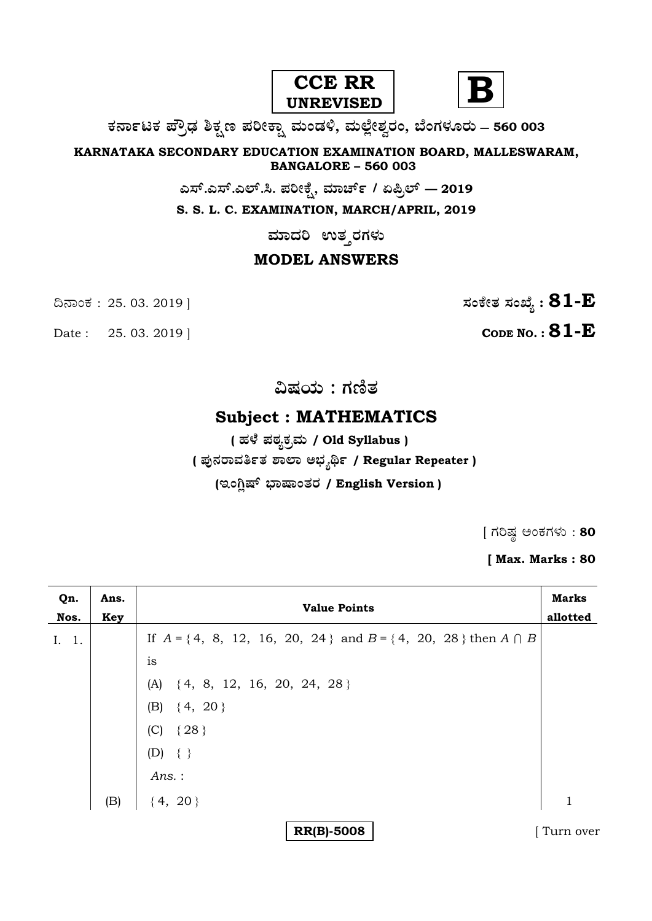



**O⁄´¤%lO⁄ ÆË√v⁄ ÃO⁄–y Æ⁄¬fiO¤– »⁄flMs⁄ÿ, »⁄fl≈Ê«fiÀ⁄ ¡⁄M, ∑ÊMV⁄◊⁄‡¡⁄fl — 560 003** 

**KARNATAKA SECONDARY EDUCATION EXAMINATION BOARD, MALLESWARAM, BANGALORE – 560 003** 

**G—È.G—È.G≈È.". Æ⁄¬fiOÊ⁄–, »⁄·¤^È% / HØ√≈È — 2019**

**S. S. L. C. EXAMINATION, MARCH/APRIL, 2019** 

 $\overline{\phantom{a}}$ ಮಾದರಿ ಉತ**್ತರಗ**ಳು

## **MODEL ANSWERS**

Date : 25. 03. 2019 | **CODE NO. : 81-E** 

¶´¤MO⁄ : 25. 03. 2019 ] **—⁄MOÊfi}⁄ —⁄MSÊ¿ : 81-E**

**…Œ⁄æ⁄fl : V⁄{}⁄**

## **Subject : MATHEMATICS**

 **( '⁄◊Ê⁄ Æ⁄p⁄¿O⁄√»⁄fl / Old Syllabus ) ( Æ⁄'¥´⁄¡¤»⁄~%}⁄ À¤≈¤ @∫⁄¥¿£% / Regular Repeater )** (ಇಂಗ್ಷಿಷ್ ಭಾಷಾಂತರ / English Version )

 $[$  ಗರಿಷ್ಣ ಅಂಕಗಳು : 80

**[ Max. Marks : 80** 

| Qn.<br>Nos. | Ans.<br>Key | <b>Value Points</b>                                                       | <b>Marks</b><br>allotted |
|-------------|-------------|---------------------------------------------------------------------------|--------------------------|
| I. 1.       |             | If $A = \{4, 8, 12, 16, 20, 24\}$ and $B = \{4, 20, 28\}$ then $A \cap B$ |                          |
|             |             | is                                                                        |                          |
|             |             | $(A) \{4, 8, 12, 16, 20, 24, 28\}$                                        |                          |
|             |             | (B) $\{4, 20\}$                                                           |                          |
|             |             | (C) $\{28\}$                                                              |                          |
|             |             | $(D) \{\}$                                                                |                          |
|             |             | Ans.:                                                                     |                          |
|             | (B)         | ${4, 20}$                                                                 | 1                        |
|             |             | <b>RR(B)-5008</b>                                                         | Turn over                |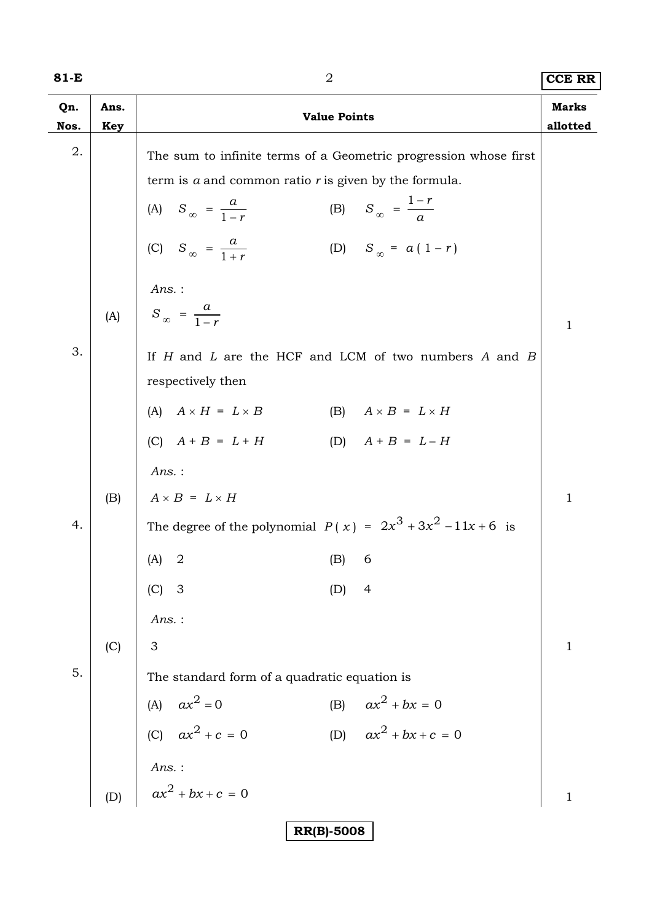| ٦<br>×<br>۰. |  |
|--------------|--|
|--------------|--|

| 81-E        |             | 2                                                                                                                                                                                                                                                                        | <b>CCE RR</b>            |
|-------------|-------------|--------------------------------------------------------------------------------------------------------------------------------------------------------------------------------------------------------------------------------------------------------------------------|--------------------------|
| Qn.<br>Nos. | Ans.<br>Key | <b>Value Points</b>                                                                                                                                                                                                                                                      | <b>Marks</b><br>allotted |
| 2.          |             | The sum to infinite terms of a Geometric progression whose first<br>term is $a$ and common ratio $r$ is given by the formula.<br>(B) $S_{\infty} = \frac{1-r}{a}$<br>(A) $S_{\infty} = \frac{a}{1-r}$<br>(C) $S_{\infty} = \frac{a}{1+r}$<br>(D) $S_{\infty} = a(1 - r)$ |                          |
|             | (A)         | Ans.:<br>$S_{\infty} = \frac{a}{1-r}$                                                                                                                                                                                                                                    | $\mathbf{1}$             |
| 3.          |             | If $H$ and $L$ are the HCF and LCM of two numbers $A$ and $B$<br>respectively then                                                                                                                                                                                       |                          |
|             |             | (A) $A \times H = L \times B$<br>(B) $A \times B = L \times H$                                                                                                                                                                                                           |                          |
|             |             | (C) $A + B = L + H$<br>(D) $A + B = L - H$                                                                                                                                                                                                                               |                          |
|             |             | $Ans.$ :                                                                                                                                                                                                                                                                 |                          |
|             | (B)         | $A \times B = L \times H$                                                                                                                                                                                                                                                | $\mathbf{1}$             |
| 4.          |             | The degree of the polynomial $P(x) = 2x^3 + 3x^2 - 11x + 6$ is                                                                                                                                                                                                           |                          |
|             |             | $(A)$ 2<br>$(B)$ 6                                                                                                                                                                                                                                                       |                          |
|             |             | $(C)$ 3<br>(D)<br>$\overline{4}$                                                                                                                                                                                                                                         |                          |
|             |             | Ans. :                                                                                                                                                                                                                                                                   |                          |
|             | (C)         | 3                                                                                                                                                                                                                                                                        | $\mathbf{1}$             |
| 5.          |             | The standard form of a quadratic equation is                                                                                                                                                                                                                             |                          |
|             |             | (B) $ax^2 + bx = 0$<br>(A) $ax^2 = 0$<br>(C) $ax^2 + c = 0$                                                                                                                                                                                                              |                          |
|             |             | (D) $ax^2 + bx + c = 0$                                                                                                                                                                                                                                                  |                          |
|             |             |                                                                                                                                                                                                                                                                          |                          |
|             | (D)         | <i>Ans.</i> :<br>$ax^2 + bx + c = 0$                                                                                                                                                                                                                                     | $\mathbf{1}$             |
|             |             | <b>RR(B)-5008</b>                                                                                                                                                                                                                                                        |                          |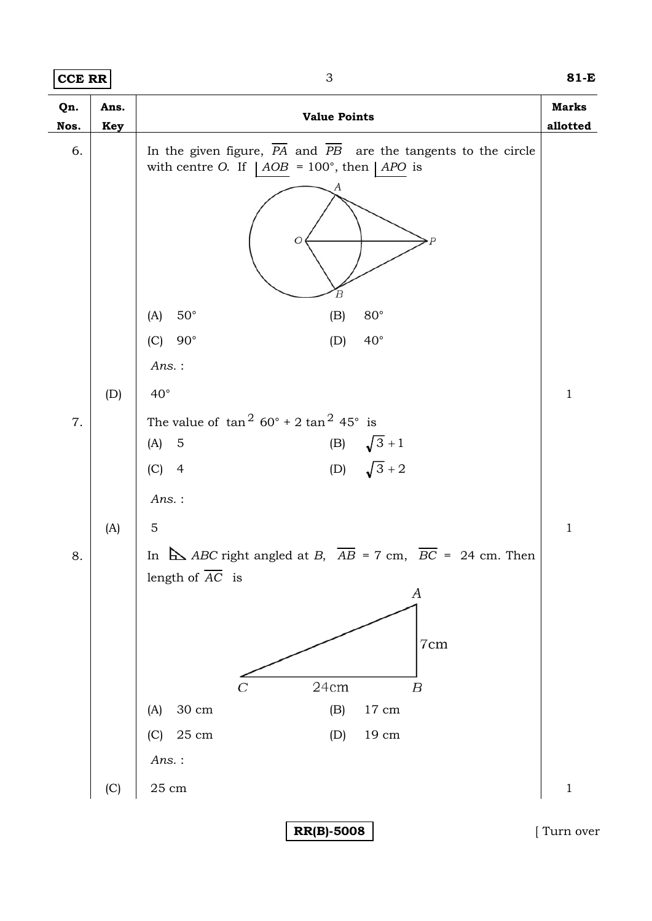| <b>CCE RR</b> |                           | $\ensuremath{\mathsf{3}}$                                                                                                                                                                                                                                                        | $81-E$                   |
|---------------|---------------------------|----------------------------------------------------------------------------------------------------------------------------------------------------------------------------------------------------------------------------------------------------------------------------------|--------------------------|
| Qn.<br>Nos.   | Ans.<br><b>Key</b>        | <b>Value Points</b>                                                                                                                                                                                                                                                              | <b>Marks</b><br>allotted |
| 6.            |                           | In the given figure, $\overline{PA}$ and $\overline{PB}$ are the tangents to the circle<br>with centre O. If $ AOB = 100^{\circ}$ , then $  APO$ is<br>Ο<br>В                                                                                                                    |                          |
|               |                           | $50^\circ$<br>$80^{\circ}$<br>(A)<br>(B)                                                                                                                                                                                                                                         |                          |
|               |                           | $90^{\circ}$<br>$40^{\circ}$<br>(C)<br>(D)                                                                                                                                                                                                                                       |                          |
|               |                           | $Ans.$ :                                                                                                                                                                                                                                                                         |                          |
|               | (D)                       | $40^{\circ}$                                                                                                                                                                                                                                                                     | $\mathbf{1}$             |
| 7.            |                           | The value of $\tan^2 60^\circ + 2 \tan^2 45^\circ$ is<br>(B) $\sqrt{3} + 1$<br>(D) $\sqrt{3} + 2$<br>(A)<br>$\overline{5}$<br>(C)<br>$\overline{4}$<br>$Ans.$ :                                                                                                                  |                          |
|               | (A)                       | $\overline{5}$                                                                                                                                                                                                                                                                   | $\mathbf{1}$             |
| 8.            |                           | In $\Delta$ ABC right angled at B, $\overline{AB} = 7$ cm, $\overline{BC} = 24$ cm. Then<br>length of $\overline{AC}$ is<br>A<br>7cm<br>24cm<br>$\boldsymbol{B}$<br>$30\ {\rm cm}$<br>$17\ {\rm cm}$<br>(B)<br>(A)<br>$25\ {\rm cm}$<br>$19\ {\rm cm}$<br>(C)<br>(D)<br>$Ans.$ : |                          |
|               | $\left( \text{C} \right)$ | $25\ {\rm cm}$                                                                                                                                                                                                                                                                   | $\,1\,$                  |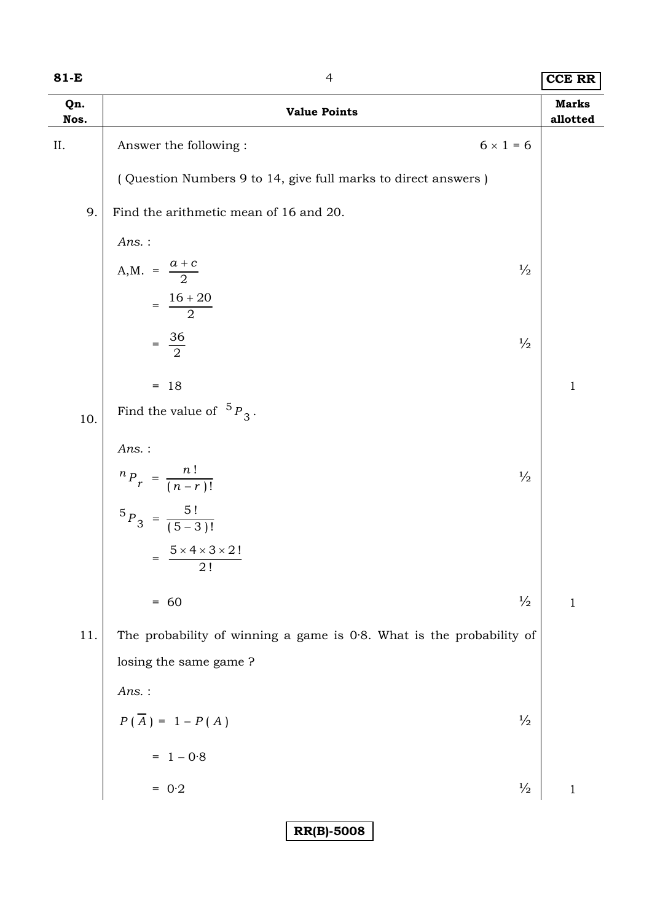| 81-E        | $\overline{4}$                                                          |                          |  |
|-------------|-------------------------------------------------------------------------|--------------------------|--|
| Qn.<br>Nos. | <b>Value Points</b>                                                     | <b>Marks</b><br>allotted |  |
| ΙΙ.         | $6 \times 1 = 6$<br>Answer the following:                               |                          |  |
|             | (Question Numbers 9 to 14, give full marks to direct answers)           |                          |  |
| 9.          | Find the arithmetic mean of 16 and 20.                                  |                          |  |
|             | $Ans.$ :                                                                |                          |  |
|             | A,M. = $\frac{a + c}{2}$<br>$\frac{1}{2}$                               |                          |  |
|             | $=\frac{16+20}{2}$                                                      |                          |  |
|             | $=\frac{36}{2}$<br>$\frac{1}{2}$                                        |                          |  |
|             | $= 18$                                                                  | $\mathbf{1}$             |  |
| 10.         | Find the value of ${}^5P_3$ .                                           |                          |  |
|             | $Ans.$ :                                                                |                          |  |
|             | ${}^{n}P_{r} = \frac{n!}{(n-r)!}$<br>$\frac{1}{2}$                      |                          |  |
|             | ${}^{5}P_3 = \frac{5!}{(5-3)!}$                                         |                          |  |
|             | $5 \times 4 \times 3 \times 2!$<br>2!                                   |                          |  |
|             | $\frac{1}{2}$<br>$= 60$                                                 | $1\,$                    |  |
| 11.         | The probability of winning a game is $0.8$ . What is the probability of |                          |  |
|             | losing the same game?                                                   |                          |  |
|             | $Ans.$ :                                                                |                          |  |
|             | $P(\overline{A}) = 1 - P(A)$<br>$\frac{1}{2}$                           |                          |  |
|             | $= 1 - 0.8$                                                             |                          |  |
|             | $\frac{1}{2}$<br>$= 0.2$                                                | $\,1\,$                  |  |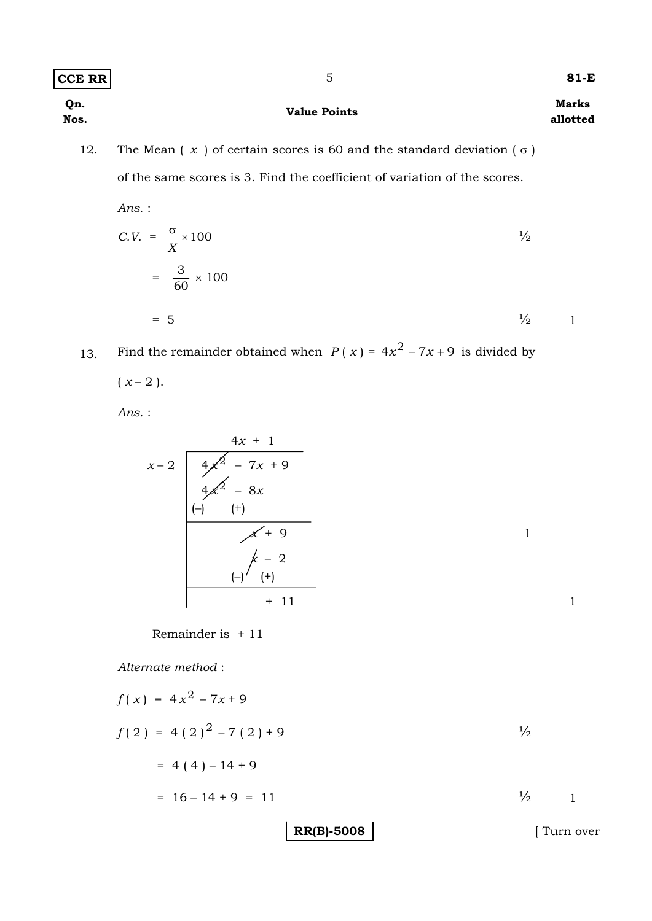| Qn.<br>Nos. | <b>Value Points</b>                                                                |              |
|-------------|------------------------------------------------------------------------------------|--------------|
| 12.         | The Mean $(\bar{x})$ of certain scores is 60 and the standard deviation $(\sigma)$ |              |
|             | of the same scores is 3. Find the coefficient of variation of the scores.          |              |
|             | $Ans.$ :                                                                           |              |
|             | $C.V. = \frac{\sigma}{\overline{X}} \times 100$<br>$\frac{1}{2}$                   |              |
|             | $=\frac{3}{60} \times 100$                                                         |              |
|             | $\frac{1}{2}$<br>$= 5$                                                             | $\mathbf{1}$ |
| 13.         | Find the remainder obtained when $P(x) = 4x^2 - 7x + 9$ is divided by              |              |
|             | $(x-2)$ .                                                                          |              |
|             | $Ans.$ :                                                                           |              |
|             | $x-2$ $4x + 1$<br>$4x^2 - 7x + 9$<br>$4x^2 - 8x$                                   |              |
|             |                                                                                    |              |
|             | $(-)$<br>$^{(+)}$<br>$\mathbf{1}$                                                  |              |
|             | $\begin{array}{c}\nX + 9 \\ \downarrow \quad \end{array}$                          |              |
|             | $(+)$<br>$\sqrt{ }$<br>$+ 11$                                                      | $\mathbf{1}$ |
|             | Remainder is $+11$                                                                 |              |
|             | Alternate method:                                                                  |              |
|             | $f(x) = 4x^2 - 7x + 9$                                                             |              |
|             | $f(2) = 4(2)^{2} - 7(2) + 9$<br>$\frac{1}{2}$                                      |              |
|             | $= 4(4)-14+9$                                                                      |              |
|             | $= 16 - 14 + 9 = 11$<br>$\frac{1}{2}$                                              | $\mathbf{1}$ |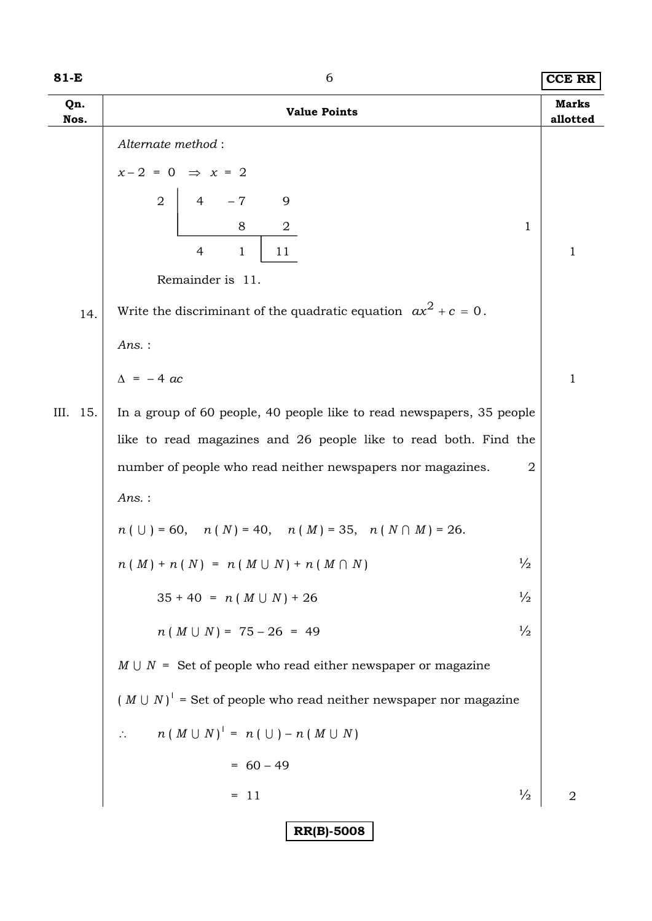| $81-E$      | 6                                                                                     |                          |
|-------------|---------------------------------------------------------------------------------------|--------------------------|
| Qn.<br>Nos. | <b>Value Points</b>                                                                   | <b>Marks</b><br>allotted |
|             | Alternate method:                                                                     |                          |
|             | $x-2 = 0 \Rightarrow x = 2$                                                           |                          |
|             | $\overline{2}$<br>$-\,7$<br>$4 \quad$<br>9                                            |                          |
|             | 8<br>$\overline{a}$<br>1                                                              |                          |
|             | $\overline{4}$<br>$\mathbf{1}$<br>11                                                  | $\mathbf 1$              |
|             | Remainder is 11.                                                                      |                          |
| 14.         | Write the discriminant of the quadratic equation $ax^2 + c = 0$ .                     |                          |
|             | $Ans.$ :                                                                              |                          |
|             | $\Delta$ = -4 ac                                                                      | 1                        |
| III. 15.    | In a group of 60 people, 40 people like to read newspapers, 35 people                 |                          |
|             | like to read magazines and 26 people like to read both. Find the                      |                          |
|             | number of people who read neither newspapers nor magazines.<br>2                      |                          |
|             | Ans.:                                                                                 |                          |
|             | $n ( \cup ) = 60, \quad n ( N ) = 40, \quad n ( M ) = 35, \quad n ( N \cap M ) = 26.$ |                          |
|             | $\frac{1}{2}$<br>$n(M) + n(N) = n(M \cup N) + n(M \cap N)$                            |                          |
|             | $\frac{1}{2}$<br>$35 + 40 = n (M \cup N) + 26$                                        |                          |
|             | $n(M \cup N) = 75 - 26 = 49$<br>$\frac{1}{2}$                                         |                          |
|             | $M \cup N$ = Set of people who read either newspaper or magazine                      |                          |
|             | $(M \cup N)'$ = Set of people who read neither newspaper nor magazine                 |                          |
|             | $n (M \cup N)' = n (\cup) - n (M \cup N)$<br>$\mathcal{L}_{\mathcal{C}}$              |                          |
|             | $= 60 - 49$                                                                           |                          |
|             | $\frac{1}{2}$<br>$= 11$                                                               | $\overline{2}$           |
|             | <b>RR(B)-5008</b>                                                                     |                          |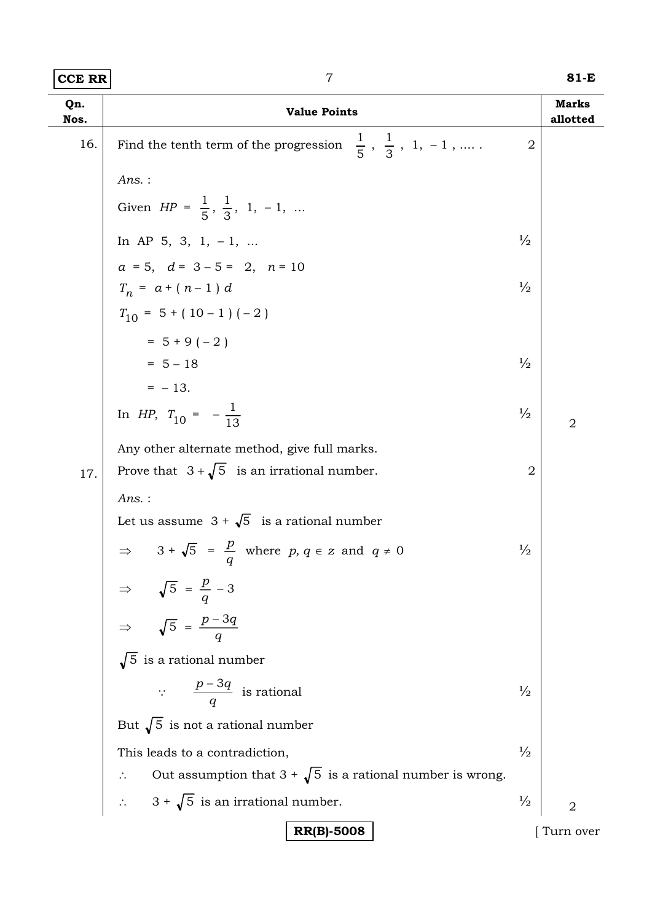| <b>CCE RR</b> | $\overline{7}$                                                                           |                | 81-E                     |
|---------------|------------------------------------------------------------------------------------------|----------------|--------------------------|
| Qn.<br>Nos.   | <b>Value Points</b>                                                                      |                | <b>Marks</b><br>allotted |
| 16.           | $\frac{1}{5}$ , $\frac{1}{3}$ , 1, -1,<br>Find the tenth term of the progression         | $\overline{2}$ |                          |
|               | $Ans.$ :                                                                                 |                |                          |
|               | Given $HP = \frac{1}{5}, \frac{1}{3}, 1, -1, $                                           |                |                          |
|               | In AP 5, 3, 1, -1,                                                                       | $\frac{1}{2}$  |                          |
|               | $a = 5$ , $d = 3 - 5 = 2$ , $n = 10$                                                     |                |                          |
|               | $T_n = a + (n-1) d$                                                                      | $\frac{1}{2}$  |                          |
|               | $T_{10} = 5 + (10 - 1) (-2)$                                                             |                |                          |
|               | $= 5 + 9(-2)$                                                                            |                |                          |
|               | $= 5 - 18$                                                                               | $\frac{1}{2}$  |                          |
|               | $=$ - 13.                                                                                |                |                          |
|               | In HP, $T_{10} = -\frac{1}{13}$                                                          | $\frac{1}{2}$  | $\overline{2}$           |
|               | Any other alternate method, give full marks.                                             |                |                          |
| 17.           | Prove that $3 + \sqrt{5}$ is an irrational number.                                       | $\overline{2}$ |                          |
|               | $Ans.$ :                                                                                 |                |                          |
|               | Let us assume $3 + \sqrt{5}$ is a rational number                                        |                |                          |
|               | $3 + \sqrt{5} = \frac{p}{q}$ where $p, q \in \mathbb{Z}$ and $q \neq 0$<br>$\Rightarrow$ | $\frac{1}{2}$  |                          |
|               |                                                                                          |                |                          |
|               | $\Rightarrow \sqrt{5} = \frac{p}{q} - 3$<br>$\Rightarrow \sqrt{5} = \frac{p - 3q}{q}$    |                |                          |
|               | $\sqrt{5}$ is a rational number                                                          |                |                          |
|               | $\therefore$ $\frac{p-3q}{q}$ is rational                                                | $\frac{1}{2}$  |                          |
|               | But $\sqrt{5}$ is not a rational number                                                  |                |                          |
|               | This leads to a contradiction,                                                           | $\frac{1}{2}$  |                          |
|               | Out assumption that $3 + \sqrt{5}$ is a rational number is wrong.                        |                |                          |
|               | $\therefore$ 3 + $\sqrt{5}$ is an irrational number.                                     | $\frac{1}{2}$  | $\overline{2}$           |
|               | <b>RR(B)-5008</b>                                                                        |                | Turn over                |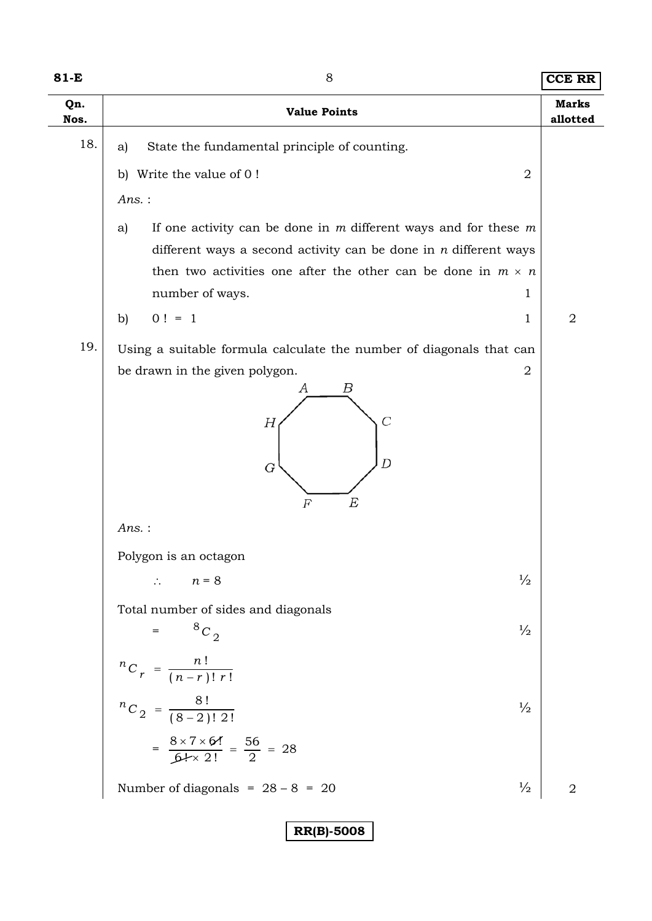| $81-E$      | 8<br><b>Value Points</b>                                                                                                                        |                |
|-------------|-------------------------------------------------------------------------------------------------------------------------------------------------|----------------|
| Qn.<br>Nos. |                                                                                                                                                 |                |
| 18.         | State the fundamental principle of counting.<br>a)                                                                                              |                |
|             | Write the value of 0!<br>$\overline{2}$<br>$\mathbf{b}$                                                                                         |                |
|             | $Ans.$ :                                                                                                                                        |                |
|             | If one activity can be done in $m$ different ways and for these $m$<br>a)<br>different ways a second activity can be done in $n$ different ways |                |
|             | then two activities one after the other can be done in $m \times n$<br>number of ways.<br>1                                                     |                |
|             | $0! = 1$<br>$\mathbf{b}$<br>1                                                                                                                   | 2              |
| 19.         | Using a suitable formula calculate the number of diagonals that can                                                                             |                |
|             | be drawn in the given polygon.<br>2<br>Β<br>А<br>$\overline{C}$<br>Н<br>D<br>G<br>E<br>F                                                        |                |
|             | $Ans.$ :                                                                                                                                        |                |
|             | Polygon is an octagon<br>$\frac{1}{2}$<br>$\therefore$ $n = 8$                                                                                  |                |
|             | Total number of sides and diagonals<br>$8C_2$<br>$\frac{1}{2}$                                                                                  |                |
|             | ${}^{n}C_{r} = \frac{n!}{(n-r)! r!}$                                                                                                            |                |
|             | ${}^{n}C_2 = \frac{8!}{(8-2)! \ 2!}$<br>$\frac{1}{2}$<br>$=\frac{8 \times 7 \times 64}{64 \times 2!} = \frac{56}{2} = 28$                       |                |
|             | Number of diagonals = $28 - 8 = 20$<br>$\frac{1}{2}$                                                                                            | $\overline{2}$ |
|             | <b>RR(B)-5008</b>                                                                                                                               |                |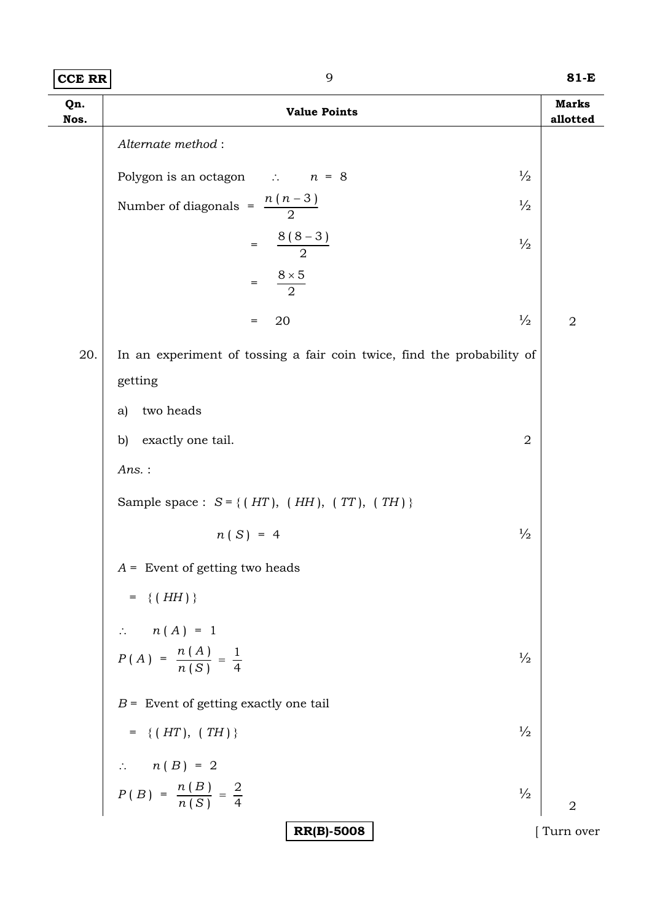| CCE RR | 81-E |
|--------|------|
|        |      |

| Qn.<br>Nos. | <b>Value Points</b>                                                               | <b>Marks</b><br>allotted |
|-------------|-----------------------------------------------------------------------------------|--------------------------|
|             | Alternate method:                                                                 |                          |
|             | $\frac{1}{2}$<br>Polygon is an octagon $\therefore$ $n = 8$                       |                          |
|             | Number of diagonals = $\frac{n(n-3)}{2}$<br>$\frac{1}{2}$                         |                          |
|             | $=\frac{8(8-3)}{2}$<br>$\frac{1}{2}$                                              |                          |
|             | $\frac{8\times5}{2}$<br>$=$                                                       |                          |
|             | $\frac{1}{2}$<br>20<br>$=$                                                        | $\sqrt{2}$               |
| 20.         | In an experiment of tossing a fair coin twice, find the probability of<br>getting |                          |
|             | two heads<br>a)                                                                   |                          |
|             | exactly one tail.<br>$\sqrt{2}$<br>$\mathbf{b}$                                   |                          |
|             | Ans.:                                                                             |                          |
|             | Sample space : $S = \{(HT), (HH), (TT), (TH)\}\$                                  |                          |
|             | $\frac{1}{2}$<br>$n(S) = 4$                                                       |                          |
|             | $A =$ Event of getting two heads                                                  |                          |
|             | $= \{ (HH) \}$                                                                    |                          |
|             | $\therefore$ $n(A) = 1$                                                           |                          |
|             | $P(A) = \frac{n(A)}{n(S)} = \frac{1}{4}$<br>$\frac{1}{2}$                         |                          |
|             | $B =$ Event of getting exactly one tail                                           |                          |
|             | $\frac{1}{2}$<br>$= \{ (HT), (TH) \}$                                             |                          |
|             |                                                                                   |                          |
|             | $n(B) = 2$<br>$P(B) = \frac{n(B)}{n(S)} = \frac{2}{4}$<br>$\frac{1}{2}$           | $\overline{2}$           |
|             | <b>RR(B)-5008</b>                                                                 | Turn over                |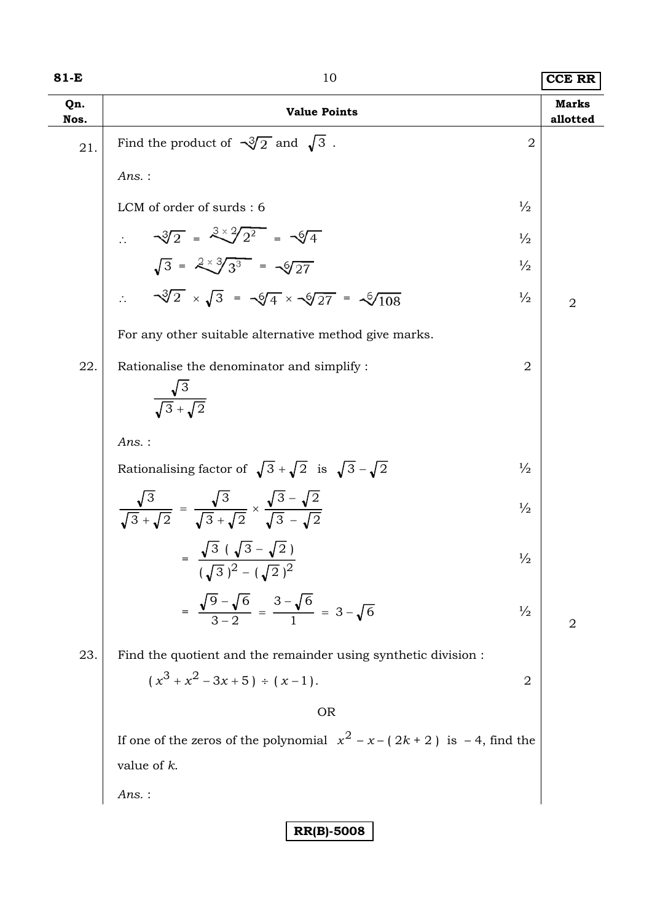| 81-E        | 10                                                                                                                           |                | <b>CCE RR</b>            |
|-------------|------------------------------------------------------------------------------------------------------------------------------|----------------|--------------------------|
| Qn.<br>Nos. | <b>Value Points</b>                                                                                                          |                | <b>Marks</b><br>allotted |
| 21.         | Find the product of $\sqrt{3}/2$ and $\sqrt{3}$ .                                                                            | $\overline{2}$ |                          |
|             | $Ans.$ :                                                                                                                     |                |                          |
|             | LCM of order of surds: 6                                                                                                     | $\frac{1}{2}$  |                          |
|             | $\therefore$ $\sqrt[3]{2} = \frac{3 \times 2}{2^2} = \sqrt[4]{4}$<br>$\sqrt{3} = \frac{2 \times 3}{3^3} = \sqrt{27}$         | $\frac{1}{2}$  |                          |
|             |                                                                                                                              | $\frac{1}{2}$  |                          |
|             | $\sqrt{3}/2 \times \sqrt{3} = \sqrt{4} \times \sqrt{27} = \sqrt{108}$                                                        | $\frac{1}{2}$  | $\overline{2}$           |
|             | For any other suitable alternative method give marks.                                                                        |                |                          |
| 22.         | Rationalise the denominator and simplify :<br>$\frac{\sqrt{3}}{\sqrt{3}+\sqrt{2}}$                                           | 2              |                          |
|             | $Ans.$ :                                                                                                                     |                |                          |
|             | Rationalising factor of $\sqrt{3} + \sqrt{2}$ is $\sqrt{3} - \sqrt{2}$                                                       | $\frac{1}{2}$  |                          |
|             | $\frac{\sqrt{3}}{\sqrt{3}+\sqrt{2}} = \frac{\sqrt{3}}{\sqrt{3}+\sqrt{2}} \times \frac{\sqrt{3}-\sqrt{2}}{\sqrt{3}-\sqrt{2}}$ | $\frac{1}{2}$  |                          |
|             | $\sqrt{3}(\sqrt{3}-\sqrt{2})$<br>$(\sqrt{3})^2 - (\sqrt{2})^2$                                                               | $\frac{1}{2}$  |                          |
|             | $=\frac{\sqrt{9}-\sqrt{6}}{2 \cdot 2} = \frac{3-\sqrt{6}}{1} = 3-\sqrt{6}$                                                   | $\frac{1}{2}$  | $\overline{2}$           |
| 23.         | Find the quotient and the remainder using synthetic division :                                                               |                |                          |
|             | $(x^{3} + x^{2} - 3x + 5) \div (x - 1).$                                                                                     | $\overline{2}$ |                          |
|             | <b>OR</b>                                                                                                                    |                |                          |
|             | If one of the zeros of the polynomial $x^2 - x - (2k + 2)$ is $-4$ , find the                                                |                |                          |
|             | value of $k$ .                                                                                                               |                |                          |
|             | $Ans.$ :                                                                                                                     |                |                          |
|             | <b>RR(B)-5008</b>                                                                                                            |                |                          |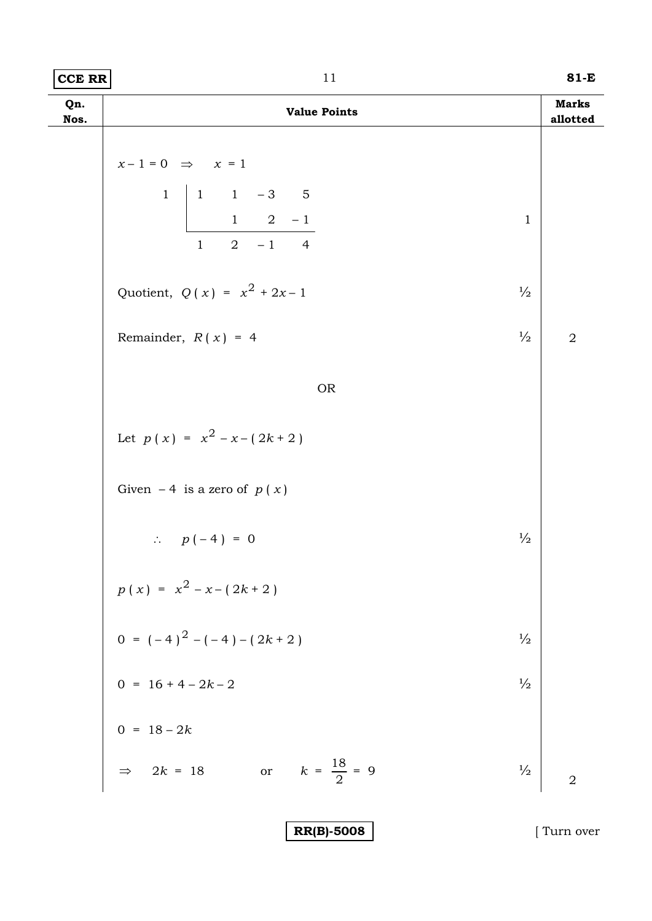| Qn.<br>Nos. | <b>Value Points</b>                                                                                                                    | <b>Marks</b><br>allotted |
|-------------|----------------------------------------------------------------------------------------------------------------------------------------|--------------------------|
|             | $x-1=0$ $\Rightarrow$ $x=1$<br>1<br>$\begin{vmatrix} 1 & 1 & -3 & 5 \\ 1 & 2 & -1 \end{vmatrix}$<br>$\mathbf 1$<br>$1 \t 2 \t -1 \t 4$ |                          |
|             | Quotient, $Q(x) = x^2 + 2x - 1$<br>$\frac{1}{2}$                                                                                       |                          |
|             | $\frac{1}{2}$<br>Remainder, $R(x) = 4$                                                                                                 | $\sqrt{2}$               |
|             | <b>OR</b>                                                                                                                              |                          |
|             | Let $p(x) = x^2 - x - (2k + 2)$                                                                                                        |                          |
|             | Given $-4$ is a zero of $p(x)$                                                                                                         |                          |
|             | $\frac{1}{2}$<br>$\therefore p(-4) = 0$                                                                                                |                          |
|             | $p(x) = x^{2} - x - (2k + 2)$                                                                                                          |                          |
|             | 0 = $(-4)^2 - (-4) - (2k + 2)$<br>0 = 16 + 4 - 2k - 2<br>$\frac{1}{2}$                                                                 |                          |
|             | $\frac{1}{2}$                                                                                                                          |                          |
|             | 0 = $18 - 2k$<br>$\Rightarrow 2k = 18$                                                                                                 |                          |
|             | or $k = \frac{18}{2} = 9$<br>$\frac{1}{2}$                                                                                             | $\overline{2}$           |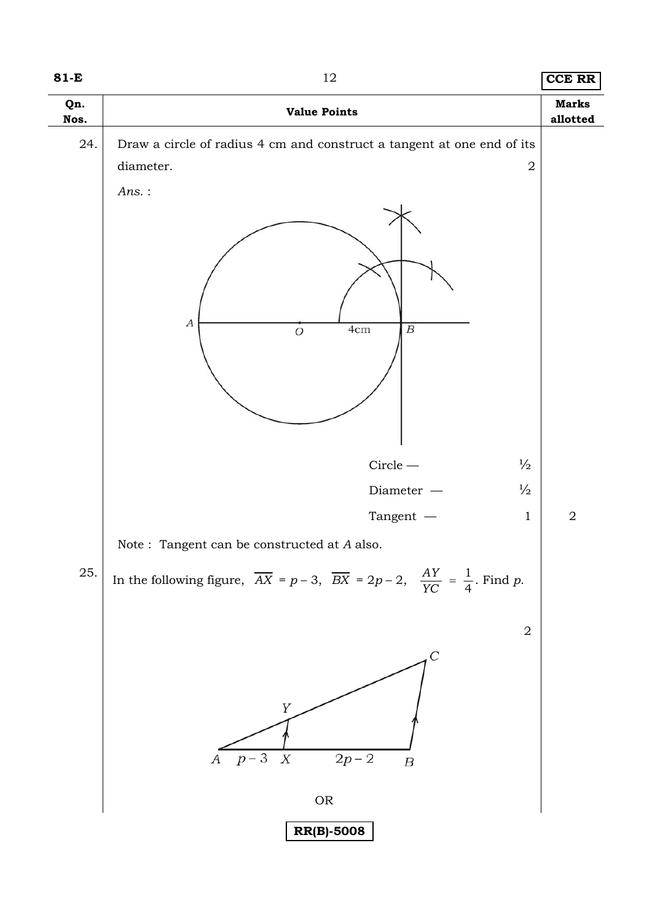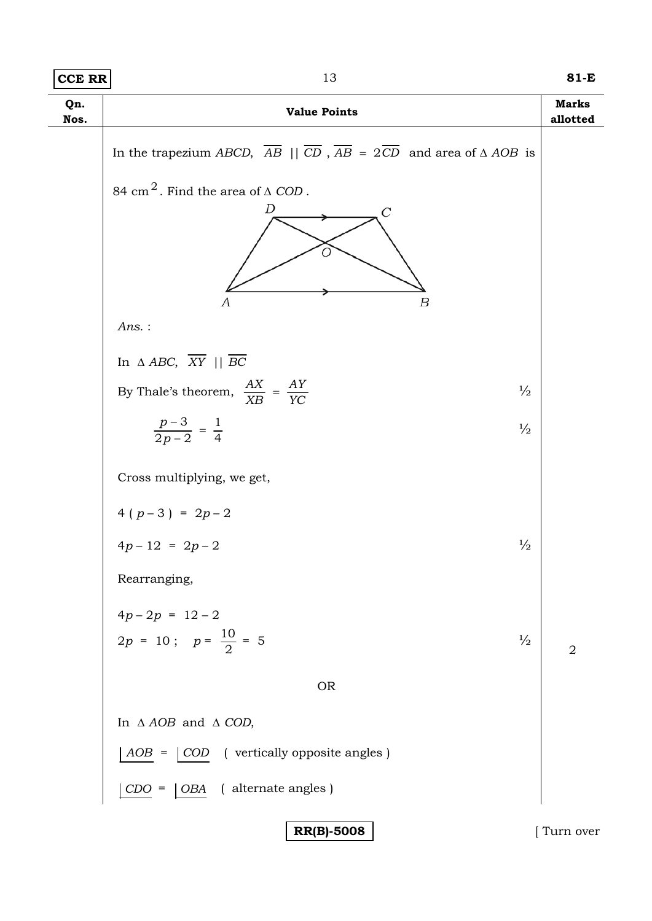| <b>CCE RR</b> | 13                                                                                                                            | 81-E                     |
|---------------|-------------------------------------------------------------------------------------------------------------------------------|--------------------------|
| Qn.<br>Nos.   | <b>Value Points</b>                                                                                                           | <b>Marks</b><br>allotted |
|               | In the trapezium ABCD, $\overline{AB}$    $\overline{CD}$ , $\overline{AB}$ = $2\overline{CD}$ and area of $\triangle AOB$ is |                          |
|               | 84 cm <sup>2</sup> . Find the area of $\triangle$ COD.<br>D<br>C<br>А<br>$\boldsymbol{B}$                                     |                          |
|               | $Ans.$ :                                                                                                                      |                          |
|               | In $\triangle ABC$ , $\overline{XY}$    $\overline{BC}$                                                                       |                          |
|               | By Thale's theorem, $\frac{AX}{XB} = \frac{AY}{YC}$<br>$\frac{1}{2}$                                                          |                          |
|               | $\frac{p-3}{2p-2} = \frac{1}{4}$<br>$\frac{1}{2}$                                                                             |                          |
|               | Cross multiplying, we get,                                                                                                    |                          |
|               | $4(p-3) = 2p-2$                                                                                                               |                          |
|               | $4p-12 = 2p-2$<br>$\frac{1}{2}$                                                                                               |                          |
|               | Rearranging,                                                                                                                  |                          |
|               | $4p-2p = 12-2$<br>$2p = 10$ ; $p = \frac{10}{2} = 5$<br>$\frac{1}{2}$                                                         | $\overline{2}$           |
|               | <b>OR</b>                                                                                                                     |                          |
|               | In $\triangle AOB$ and $\triangle COD$ ,                                                                                      |                          |
|               | ( vertically opposite angles )<br>AOB<br>$\vert$ COD                                                                          |                          |
|               | ( alternate angles )<br>$CDO =$<br>  OBA                                                                                      |                          |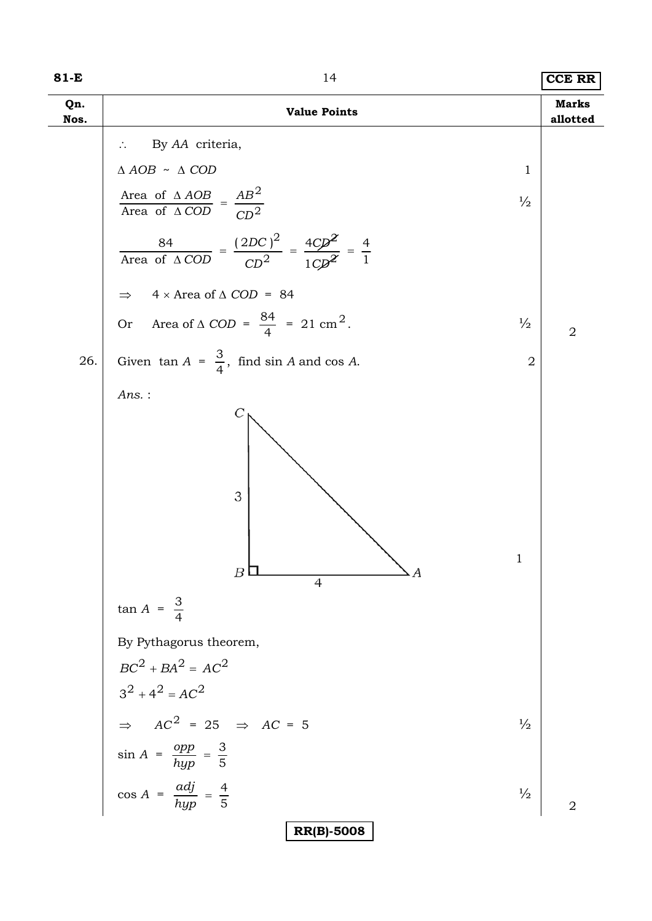| 81-E        | 14                                                                                                                                                                                                                                                                                                                                                                                                                                                                               | <b>CCE RR</b>            |
|-------------|----------------------------------------------------------------------------------------------------------------------------------------------------------------------------------------------------------------------------------------------------------------------------------------------------------------------------------------------------------------------------------------------------------------------------------------------------------------------------------|--------------------------|
| Qn.<br>Nos. | <b>Value Points</b>                                                                                                                                                                                                                                                                                                                                                                                                                                                              | <b>Marks</b><br>allotted |
| 26.         | By AA criteria,<br>$\triangle AOB \sim \triangle COD$<br>$\mathbf{1}$<br>Area of $\triangle AOB$ = $\frac{AB^2}{CD^2}$<br>$\frac{1}{2}$<br>$\frac{84}{\text{Area of }\Delta COD} = \frac{(2DC)^2}{CD^2} = \frac{4CD^2}{1CD^2} = \frac{4}{1}$<br>$4 \times$ Area of $\triangle$ COD = 84<br>$\Rightarrow$<br>Or Area of $\triangle$ COD = $\frac{84}{4}$ = 21 cm <sup>2</sup> .<br>$\frac{1}{2}$<br>Given $\tan A = \frac{3}{4}$ , find $\sin A$ and $\cos A$ .<br>$\overline{2}$ | $\sqrt{2}$               |
|             | $Ans.$ :<br>Ċ<br>3<br>1<br>$\boldsymbol{B}$<br>4                                                                                                                                                                                                                                                                                                                                                                                                                                 |                          |
|             | $\tan A = \frac{3}{4}$<br>By Pythagorus theorem,<br>$BC^{2} + BA^{2} = AC^{2}$<br>$3^2 + 4^2 = AC^2$                                                                                                                                                                                                                                                                                                                                                                             |                          |
|             | $\Rightarrow AC^2 = 25 \Rightarrow AC = 5$<br>$\frac{1}{2}$<br>$sin A = \frac{opp}{hyp} = \frac{3}{5}$                                                                                                                                                                                                                                                                                                                                                                           |                          |
|             | $\cos A = \frac{adj}{hyp} = \frac{4}{5}$<br>$\frac{1}{2}$                                                                                                                                                                                                                                                                                                                                                                                                                        | $\overline{2}$           |
|             | <b>RR(B)-5008</b>                                                                                                                                                                                                                                                                                                                                                                                                                                                                |                          |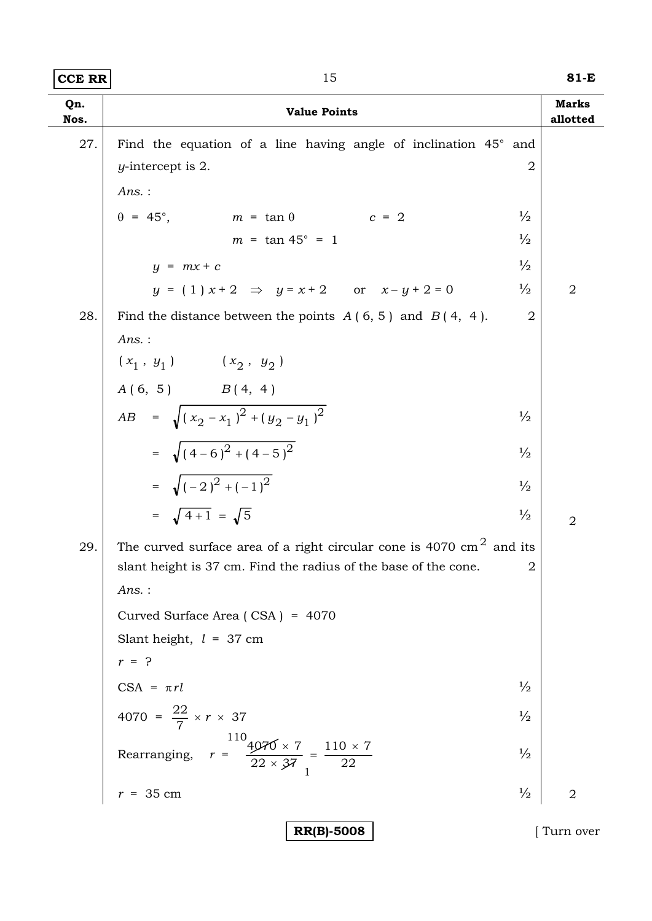**CCE RR** 15 **81-E**

| Qn.<br>Nos. | <b>Value Points</b>                                                            |                | <b>Marks</b><br>allotted |
|-------------|--------------------------------------------------------------------------------|----------------|--------------------------|
| 27.         | Find the equation of a line having angle of inclination 45° and                |                |                          |
|             | $y$ -intercept is 2.                                                           | $\overline{2}$ |                          |
|             | $Ans.$ :                                                                       |                |                          |
|             | $m = \tan \theta$ $c = 2$<br>$\theta = 45^{\circ}$ ,                           | $\frac{1}{2}$  |                          |
|             | $m = \tan 45^{\circ} = 1$                                                      | $\frac{1}{2}$  |                          |
|             | $y = mx + c$                                                                   | $\frac{1}{2}$  |                          |
|             | $y = (1) x + 2 \implies y = x + 2$ or $x - y + 2 = 0$                          | $\frac{1}{2}$  | $\overline{2}$           |
| 28.         | Find the distance between the points $A(6, 5)$ and $B(4, 4)$ .                 | $\overline{2}$ |                          |
|             | Ans.:                                                                          |                |                          |
|             | $(\,x_1 \;,\; y_1\,)\qquad \quad (\,x_2 \;,\; y_2\,)$                          |                |                          |
|             | $A(6, 5)$ $B(4, 4)$                                                            |                |                          |
|             | $AB = \sqrt{(x_2 - x_1)^2 + (y_2 - y_1)^2}$                                    | $\frac{1}{2}$  |                          |
|             | = $\sqrt{(4-6)^2+(4-5)^2}$                                                     | $\frac{1}{2}$  |                          |
|             | = $\sqrt{(-2)^2 + (-1)^2}$                                                     | $\frac{1}{2}$  |                          |
|             | = $\sqrt{4+1}$ = $\sqrt{5}$                                                    | $\frac{1}{2}$  | $\overline{2}$           |
| 29.         | The curved surface area of a right circular cone is 4070 $\text{cm}^2$ and its |                |                          |
|             | slant height is 37 cm. Find the radius of the base of the cone.                | $\overline{2}$ |                          |
|             | Ans. :                                                                         |                |                          |
|             | Curved Surface Area (CSA) = 4070                                               |                |                          |
|             | Slant height, $l = 37$ cm<br>$r = ?$                                           |                |                          |
|             |                                                                                | $\frac{1}{2}$  |                          |
|             | $CSA = \pi rl$                                                                 |                |                          |
|             | 4070 = $\frac{22}{7} \times r \times 37$                                       | $\frac{1}{2}$  |                          |
|             | Rearranging, $r = \frac{110}{22 \times 37} = \frac{110 \times 7}{22}$          | $\frac{1}{2}$  |                          |
|             | $r = 35$ cm                                                                    | $\frac{1}{2}$  | $\overline{2}$           |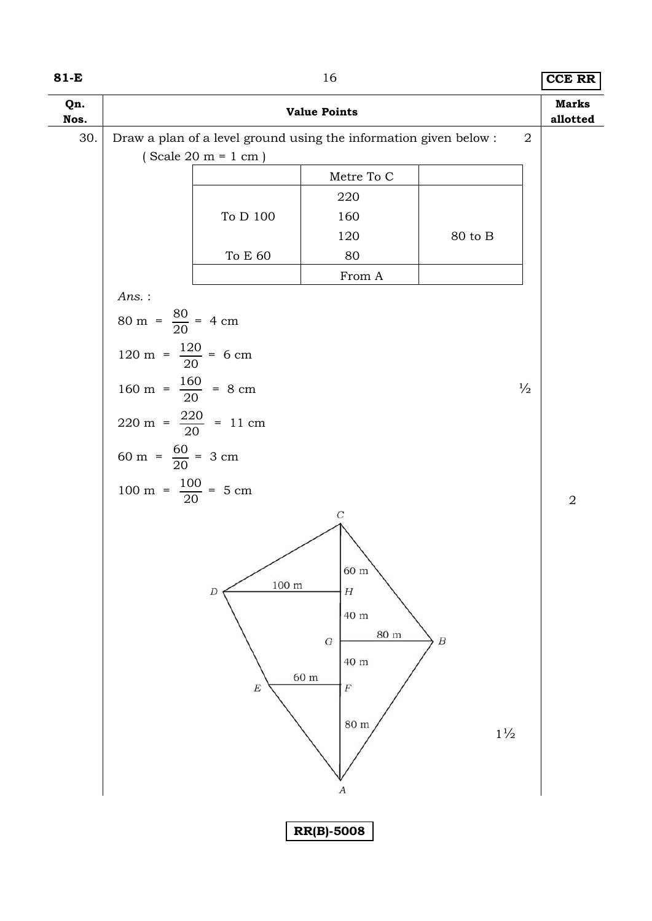| 81-E        |                                                  |                                                         | 16                                                                                                                                     |                                    | <b>CCE RR</b>            |
|-------------|--------------------------------------------------|---------------------------------------------------------|----------------------------------------------------------------------------------------------------------------------------------------|------------------------------------|--------------------------|
| Qn.<br>Nos. |                                                  |                                                         | <b>Value Points</b>                                                                                                                    |                                    | <b>Marks</b><br>allotted |
| 30.         |                                                  |                                                         | Draw a plan of a level ground using the information given below :                                                                      |                                    | $\overline{2}$           |
|             |                                                  | $(Scale 20 m = 1 cm)$                                   |                                                                                                                                        |                                    |                          |
|             |                                                  |                                                         | Metre To C                                                                                                                             |                                    |                          |
|             |                                                  |                                                         | 220                                                                                                                                    |                                    |                          |
|             |                                                  | To D $100\,$                                            | 160                                                                                                                                    |                                    |                          |
|             |                                                  |                                                         | 120                                                                                                                                    | 80 to B                            |                          |
|             |                                                  | To E $60\,$                                             | 80                                                                                                                                     |                                    |                          |
|             |                                                  |                                                         | From A                                                                                                                                 |                                    |                          |
|             | Ans.:                                            |                                                         |                                                                                                                                        |                                    |                          |
|             | $80 \text{ m} = \frac{80}{20} = 4 \text{ cm}$    |                                                         |                                                                                                                                        |                                    |                          |
|             | 120 m = $\frac{120}{20}$ = 6 cm                  |                                                         |                                                                                                                                        |                                    |                          |
|             | 160 m = $\frac{160}{20}$ = 8 cm                  |                                                         |                                                                                                                                        |                                    | $\frac{1}{2}$            |
|             | $220 \text{ m} = \frac{220}{20} = 11 \text{ cm}$ |                                                         |                                                                                                                                        |                                    |                          |
|             | 60 m = $\frac{60}{20}$ = 3 cm                    |                                                         |                                                                                                                                        |                                    |                          |
|             | 100 m = $\frac{100}{20}$ = 5 cm                  |                                                         |                                                                                                                                        |                                    | $\overline{2}$           |
|             |                                                  | $100 \text{ m}$<br>$\boldsymbol{D}$<br>$\boldsymbol{E}$ | $\cal C$<br>60 m<br>$\boldsymbol{H}$<br>40 m<br>$80~\mathrm{m}$<br>$\cal G$<br>40 m<br>$60\ {\rm m}$<br>$\cal F$<br>$80\ {\rm m}$<br>А | $\boldsymbol{B}$<br>$1\frac{1}{2}$ |                          |
|             |                                                  |                                                         | <b>RR(B)-5008</b>                                                                                                                      |                                    |                          |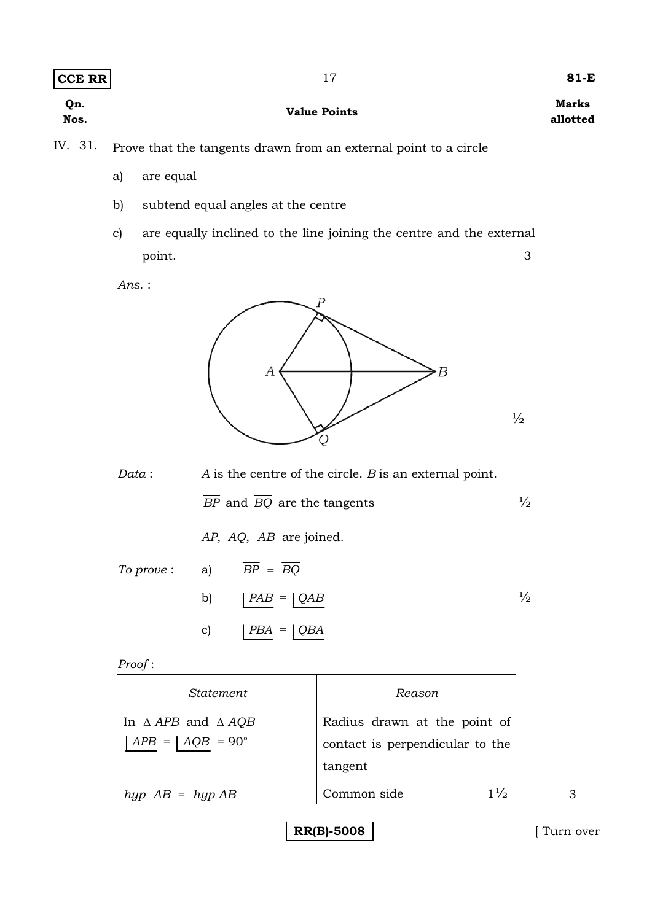| <b>CCE RR</b>                  | 17                                                                                                         |                                                                                  | 81-E                     |
|--------------------------------|------------------------------------------------------------------------------------------------------------|----------------------------------------------------------------------------------|--------------------------|
| Qn.<br>Nos.                    | <b>Value Points</b>                                                                                        |                                                                                  | <b>Marks</b><br>allotted |
| IV. 31.                        | Prove that the tangents drawn from an external point to a circle                                           |                                                                                  |                          |
|                                | are equal<br>a)                                                                                            |                                                                                  |                          |
|                                | subtend equal angles at the centre<br>b)                                                                   |                                                                                  |                          |
|                                | are equally inclined to the line joining the centre and the external<br>$\mathbf{c}$                       |                                                                                  |                          |
|                                | point.                                                                                                     |                                                                                  | 3                        |
|                                | Ans.:<br>Ρ<br>А<br>Data:<br>$\overline{BP}$ and $\overline{BQ}$ are the tangents<br>AP, AQ, AB are joined. | R<br>$\frac{1}{2}$<br>$A$ is the centre of the circle. $B$ is an external point. | $\frac{1}{2}$            |
|                                | $\overline{BP} = \overline{BQ}$<br>To prove:<br>a)                                                         |                                                                                  |                          |
|                                | b)<br>$PAB =  QAB$                                                                                         |                                                                                  | $\frac{1}{2}$            |
|                                | $\mathbf{c})$<br>$PBA = \bigcup QBA$                                                                       |                                                                                  |                          |
|                                | Proof:<br>Statement<br>Reason<br>Radius drawn at the point of<br>In $\triangle APB$ and $\triangle AQB$    |                                                                                  |                          |
|                                |                                                                                                            |                                                                                  |                          |
|                                |                                                                                                            |                                                                                  |                          |
|                                | $APB =   AQB = 90^{\circ}$                                                                                 | contact is perpendicular to the<br>tangent                                       |                          |
|                                | $hyp$ AB = $hyp$ AB                                                                                        | $1\frac{1}{2}$<br>Common side                                                    | $\mathfrak 3$            |
| <b>RR(B)-5008</b><br>Turn over |                                                                                                            |                                                                                  |                          |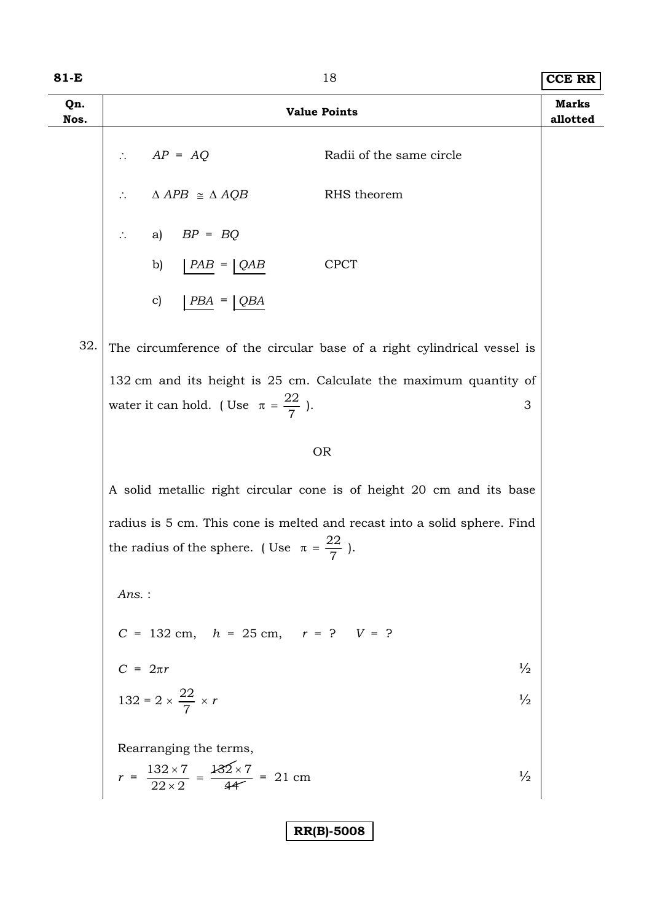| 81-E        | 18                                                                                                                                 |                          | <b>CCE RR</b>            |
|-------------|------------------------------------------------------------------------------------------------------------------------------------|--------------------------|--------------------------|
| Qn.<br>Nos. | <b>Value Points</b>                                                                                                                |                          | <b>Marks</b><br>allotted |
|             | $AP = AQ$                                                                                                                          | Radii of the same circle |                          |
|             | $\triangle APB \cong \triangle AQB$                                                                                                | RHS theorem              |                          |
|             | a) $BP = BQ$                                                                                                                       |                          |                          |
|             | b) $\bigcap$ $PAB = \bigcap$ $QAB$                                                                                                 | <b>CPCT</b>              |                          |
|             | $\mathbf{c})$<br>$PBA = \bigcup QBA$                                                                                               |                          |                          |
| 32.         | The circumference of the circular base of a right cylindrical vessel is                                                            |                          |                          |
|             | 132 cm and its height is 25 cm. Calculate the maximum quantity of<br>water it can hold. (Use $\pi = \frac{22}{7}$ ).               | 3                        |                          |
|             | <b>OR</b>                                                                                                                          |                          |                          |
|             | A solid metallic right circular cone is of height 20 cm and its base                                                               |                          |                          |
|             | radius is 5 cm. This cone is melted and recast into a solid sphere. Find<br>the radius of the sphere. (Use $\pi = \frac{22}{7}$ ). |                          |                          |
|             | $Ans.$ :                                                                                                                           |                          |                          |
|             | $C = 132 \text{ cm}, \quad h = 25 \text{ cm}, \quad r = ? \quad V = ?$                                                             |                          |                          |
|             | $C = 2\pi r$                                                                                                                       | $\frac{1}{2}$            |                          |
|             | 132 = 2 $\times \frac{22}{7} \times r$                                                                                             | $\frac{1}{2}$            |                          |
|             | Rearranging the terms,                                                                                                             |                          |                          |
|             | $r = \frac{132 \times 7}{22 \times 2} = \frac{132 \times 7}{44} = 21$ cm                                                           | $\frac{1}{2}$            |                          |
|             | <b>RR(B)-5008</b>                                                                                                                  |                          |                          |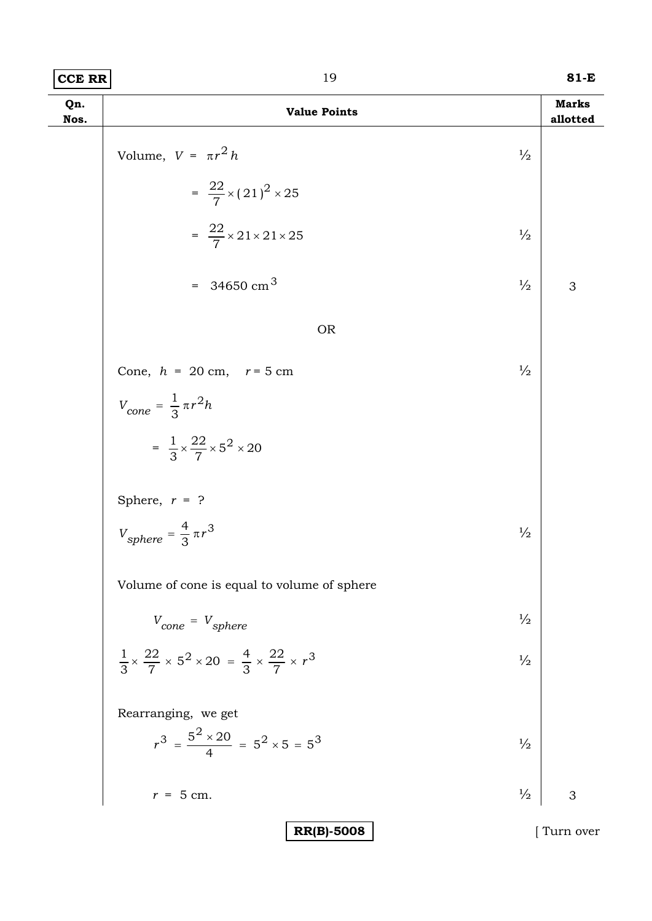| CCE RR | 81-E |
|--------|------|
|        |      |

| Qn.<br>Nos. | <b>Value Points</b>                                                                                 |               | <b>Marks</b><br>allotted |
|-------------|-----------------------------------------------------------------------------------------------------|---------------|--------------------------|
|             | Volume, $V = \pi r^2 h$                                                                             | $\frac{1}{2}$ |                          |
|             | $=\frac{22}{7} \times (21)^2 \times 25$                                                             |               |                          |
|             | $=\frac{22}{7} \times 21 \times 21 \times 25$                                                       | $\frac{1}{2}$ |                          |
|             | = 34650 cm <sup>3</sup>                                                                             | $\frac{1}{2}$ | 3                        |
|             | <b>OR</b>                                                                                           |               |                          |
|             | Cone, $h = 20$ cm, $r = 5$ cm                                                                       | $\frac{1}{2}$ |                          |
|             | $V_{cone} = \frac{1}{3} \pi r^2 h$                                                                  |               |                          |
|             | $=\frac{1}{3}\times\frac{22}{7}\times5^2\times20$                                                   |               |                          |
|             | Sphere, $r = ?$                                                                                     |               |                          |
|             | $V_{sphere} = \frac{4}{3} \pi r^3$                                                                  | $\frac{1}{2}$ |                          |
|             | Volume of cone is equal to volume of sphere                                                         |               |                          |
|             | $V_{cone} = V_{sphere}$                                                                             | $\frac{1}{2}$ |                          |
|             | $\frac{1}{3} \times \frac{22}{7} \times 5^2 \times 20 = \frac{4}{3} \times \frac{22}{7} \times r^3$ | $\frac{1}{2}$ |                          |
|             | Rearranging, we get                                                                                 |               |                          |
|             | $r^3 = \frac{5^2 \times 20}{4} = 5^2 \times 5 = 5^3$                                                | $\frac{1}{2}$ |                          |
|             | $r = 5$ cm.                                                                                         | $\frac{1}{2}$ | 3                        |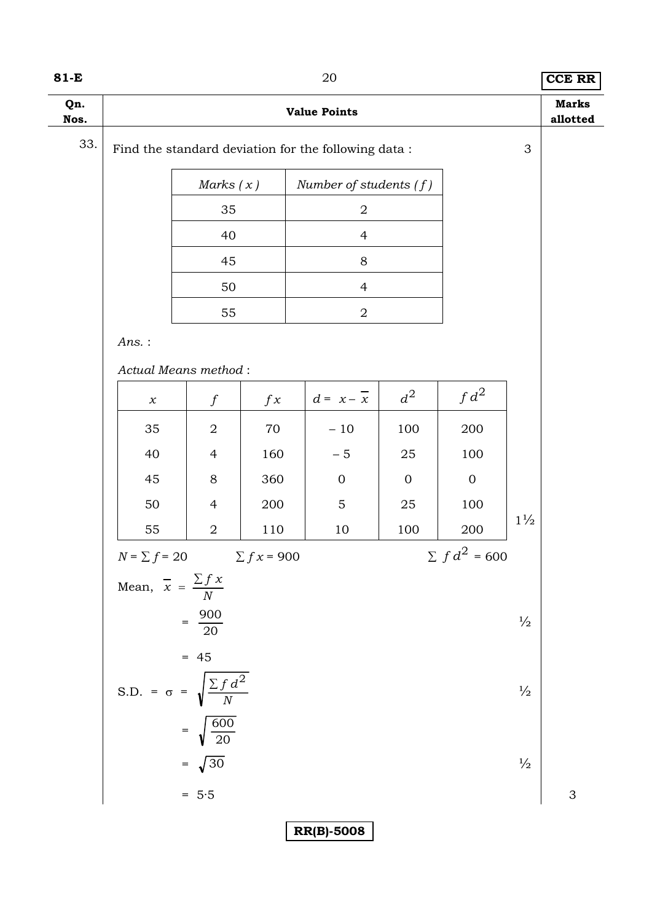### **81-E** 20 **CCE RR**

| Qn.<br>Nos. | <b>Value Points</b>                                       |                          |                 |                          |             |                       | <b>Marks</b><br>allotted |   |  |
|-------------|-----------------------------------------------------------|--------------------------|-----------------|--------------------------|-------------|-----------------------|--------------------------|---|--|
| 33.         | Find the standard deviation for the following data :<br>3 |                          |                 |                          |             |                       |                          |   |  |
|             |                                                           | Marks $(x)$              |                 | Number of students $(f)$ |             |                       |                          |   |  |
|             |                                                           | 35                       |                 | $\sqrt{2}$               |             |                       |                          |   |  |
|             |                                                           | 40                       |                 | $\overline{4}$           |             |                       |                          |   |  |
|             |                                                           | 45                       |                 | $8\,$                    |             |                       |                          |   |  |
|             |                                                           | 50                       |                 | $\overline{4}$           |             |                       |                          |   |  |
|             |                                                           | 55                       |                 | $\boldsymbol{2}$         |             |                       |                          |   |  |
|             | $Ans.$ :                                                  |                          |                 |                          |             |                       |                          |   |  |
|             | Actual Means method:                                      |                          |                 |                          |             |                       |                          |   |  |
|             | $\boldsymbol{\chi}$                                       | $\boldsymbol{f}$         | f x             | $d = x - x$              | $d^2$       | $fd^2$                |                          |   |  |
|             | 35                                                        | $\overline{2}$           | 70              | $-10$                    | 100         | 200                   |                          |   |  |
|             | 40                                                        | $\overline{4}$           | 160             | $-5$                     | 25          | 100                   |                          |   |  |
|             | 45                                                        | $8\,$                    | 360             | $\mathbf 0$              | $\mathbf 0$ | $\overline{0}$        |                          |   |  |
|             | 50                                                        | $\overline{4}$           | 200             | $\mathbf 5$              | $25\,$      | 100                   | $1\frac{1}{2}$           |   |  |
|             | 55                                                        | $\sqrt{2}$               | 110             | 10                       | 100         | 200                   |                          |   |  |
|             | $N = \sum f = 20$                                         |                          | $\sum fx = 900$ |                          |             | $\Sigma~f\,d^2$ = 600 |                          |   |  |
|             | Mean, $\overline{x} = \frac{\sum fx}{N}$                  |                          |                 |                          |             |                       |                          |   |  |
|             |                                                           | $=\frac{900}{20}$        |                 |                          |             |                       | $\frac{1}{2}$            |   |  |
|             | S.D. = $\sigma$ = $\sqrt{\frac{\sum f d^2}{N}}$           | $= 45$                   |                 |                          |             |                       |                          |   |  |
|             |                                                           |                          |                 |                          |             |                       | $\frac{1}{2}$            |   |  |
|             |                                                           | $=\sqrt{\frac{600}{20}}$ |                 |                          |             |                       |                          |   |  |
|             |                                                           | $= \sqrt{30}$            |                 |                          |             |                       | $\frac{1}{2}$            |   |  |
|             |                                                           | $= 5.5$                  |                 |                          |             |                       |                          | 3 |  |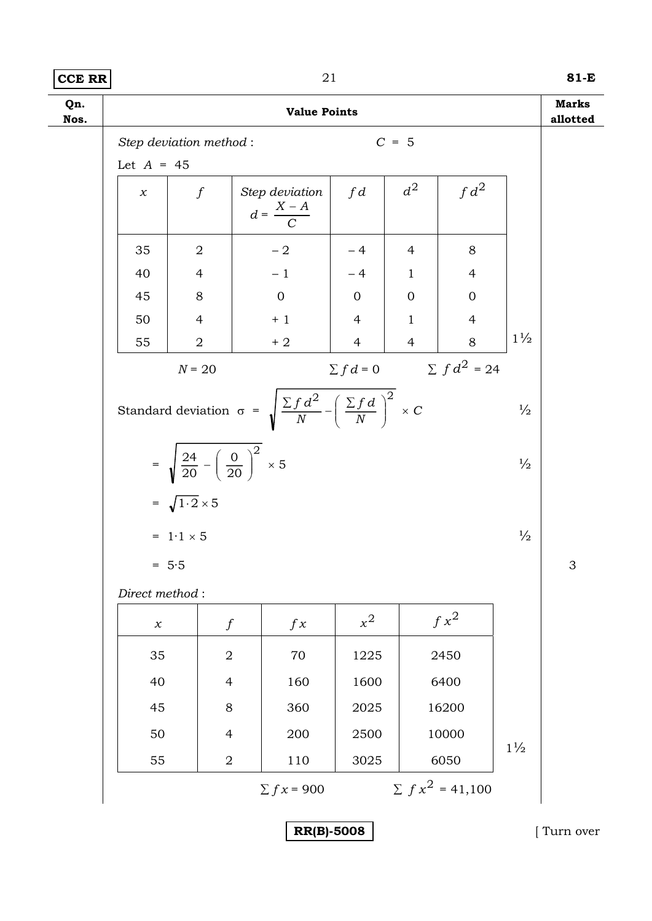# **CCE RR** 21 **81-E**

| Qn.<br>Nos. |                     |                                                                 | <b>Value Points</b>                                                                                    |                |                |                                |                | <b>Marks</b><br>allotted  |
|-------------|---------------------|-----------------------------------------------------------------|--------------------------------------------------------------------------------------------------------|----------------|----------------|--------------------------------|----------------|---------------------------|
|             |                     | Step deviation method:                                          |                                                                                                        |                | $C = 5$        |                                |                |                           |
|             | Let $A = 45$        |                                                                 |                                                                                                        |                |                |                                |                |                           |
|             | $\chi$              | $\int$                                                          | Step deviation<br>$d = \frac{X - A}{C}$                                                                | fd             | $d^2$          | $fd^2$                         |                |                           |
|             | 35                  | $\overline{2}$                                                  | $-2$                                                                                                   | $-4$           | 4              | 8                              |                |                           |
|             | 40                  | $\overline{4}$                                                  | $-1$                                                                                                   | $-4$           | $\mathbf{1}$   | $\overline{4}$                 |                |                           |
|             | 45                  | 8                                                               | $\mathbf{0}$                                                                                           | $\overline{0}$ | $\mathbf{0}$   | $\mathbf{0}$                   |                |                           |
|             | 50                  | $\overline{4}$                                                  | $+1$                                                                                                   | $\overline{4}$ | $\mathbf{1}$   | $\overline{4}$                 |                |                           |
|             | 55                  | $\overline{2}$                                                  | $+2$                                                                                                   | $\overline{4}$ | $\overline{4}$ | 8                              | $1\frac{1}{2}$ |                           |
|             |                     | $N = 20$                                                        |                                                                                                        |                |                | $\sum fd = 0$ $\sum fd^2 = 24$ |                |                           |
|             |                     |                                                                 | Standard deviation $\sigma = \sqrt{\frac{\sum f d^2}{N} - \left(\frac{\sum f d}{N}\right)^2} \times C$ |                |                |                                | $\frac{1}{2}$  |                           |
|             |                     | = $\sqrt{\frac{24}{20} - \left(\frac{0}{20}\right)^2} \times 5$ |                                                                                                        |                |                |                                | $\frac{1}{2}$  |                           |
|             |                     | $=\sqrt{1\cdot 2}\times 5$                                      |                                                                                                        |                |                |                                |                |                           |
|             |                     | $= 1.1 \times 5$                                                |                                                                                                        |                |                |                                | $\frac{1}{2}$  |                           |
|             | $= 5.5$             |                                                                 |                                                                                                        |                |                |                                |                | $\ensuremath{\mathsf{3}}$ |
|             | Direct method:      |                                                                 |                                                                                                        |                |                |                                |                |                           |
|             | $\boldsymbol{\chi}$ | $\boldsymbol{f}$                                                | f x                                                                                                    | $x^2$          |                | $f x^2$                        |                |                           |
|             | 35                  | $\sqrt{2}$                                                      | 70                                                                                                     | 1225           |                | 2450                           |                |                           |
|             | 40                  | $\overline{4}$                                                  | 160                                                                                                    | 1600           |                | 6400                           |                |                           |
|             | 45                  | $8\,$                                                           | 360                                                                                                    | 2025           |                | 16200                          |                |                           |
|             | 50                  | $\overline{4}$                                                  | 200                                                                                                    | 2500           |                | 10000                          |                |                           |
|             | 55                  | $\overline{2}$                                                  | 110                                                                                                    | 3025           |                | 6050                           | $1\frac{1}{2}$ |                           |
|             |                     |                                                                 | $\sum fx = 900$                                                                                        |                |                | $\sum fx^2 = 41,100$           |                |                           |
|             |                     |                                                                 |                                                                                                        |                |                |                                |                |                           |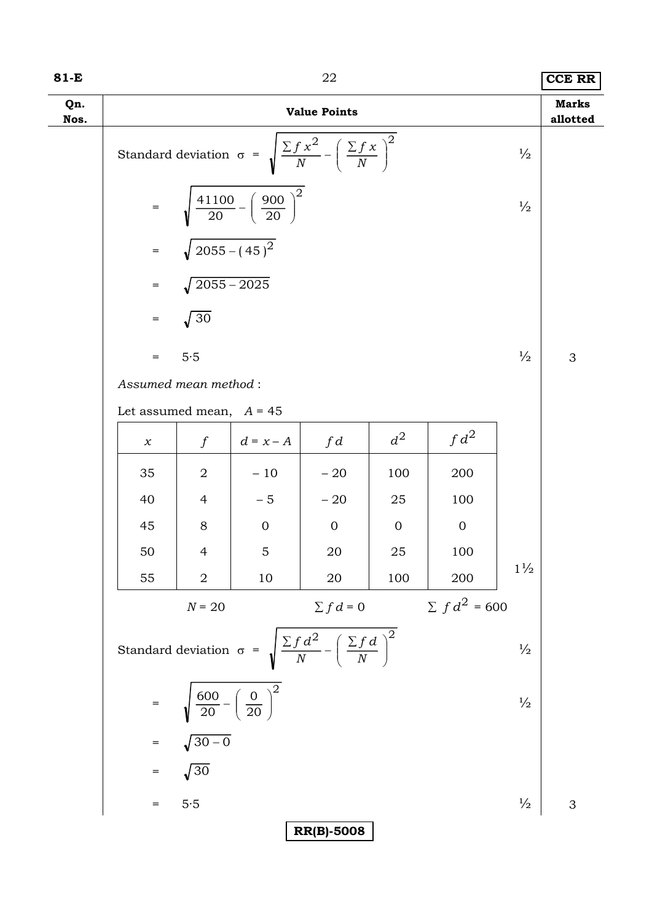| 81-E        |                            |                                                        |                                                    | 22                                                                                 |                |                 |                | <b>CCE RR</b>            |
|-------------|----------------------------|--------------------------------------------------------|----------------------------------------------------|------------------------------------------------------------------------------------|----------------|-----------------|----------------|--------------------------|
| Qn.<br>Nos. |                            |                                                        |                                                    | <b>Value Points</b>                                                                |                |                 |                | <b>Marks</b><br>allotted |
|             |                            |                                                        |                                                    | Standard deviation $\sigma = \sqrt{\frac{\sum f x^2}{N} - (\frac{\sum f x}{N})^2}$ |                |                 | $\frac{1}{2}$  |                          |
|             | $\equiv$                   |                                                        | $\frac{41100}{20} - \left(\frac{900}{20}\right)^2$ |                                                                                    |                |                 | $\frac{1}{2}$  |                          |
|             | $=$                        | $\sqrt{2055-(45)^2}$                                   |                                                    |                                                                                    |                |                 |                |                          |
|             | $=$                        | $\sqrt{2055-2025}$                                     |                                                    |                                                                                    |                |                 |                |                          |
|             | $\, =$                     | $\sqrt{30}$                                            |                                                    |                                                                                    |                |                 |                |                          |
|             | $=$                        | 5.5                                                    |                                                    |                                                                                    |                |                 | $\frac{1}{2}$  | 3                        |
|             | Assumed mean method:       |                                                        |                                                    |                                                                                    |                |                 |                |                          |
|             | Let assumed mean, $A = 45$ |                                                        |                                                    |                                                                                    |                |                 |                |                          |
|             | $\chi$                     | $\int$                                                 | $d = x - A$                                        | fd                                                                                 | $d^2$          | $fd^2$          |                |                          |
|             | 35                         | $\overline{2}$                                         | $-10$                                              | $-20$                                                                              | 100            | 200             |                |                          |
|             | 40                         | $\overline{4}$                                         | $-5$                                               | $-20$                                                                              | 25             | 100             |                |                          |
|             | 45                         | 8                                                      | $\overline{0}$                                     | $\overline{0}$                                                                     | $\overline{0}$ | $\overline{0}$  |                |                          |
|             | 50                         | $\overline{4}$                                         | $\overline{5}$                                     | 20                                                                                 | 25             | 100             |                |                          |
|             | 55                         | $\sqrt{2}$                                             | 10                                                 | 20                                                                                 | 100            | 200             | $1\frac{1}{2}$ |                          |
|             |                            | $N = 20$                                               |                                                    | $\sum fd=0$                                                                        |                | $\sum fd^2=600$ |                |                          |
|             |                            |                                                        |                                                    | Standard deviation $\sigma = \sqrt{\frac{\sum f d^2}{N} - (\frac{\sum f d}{N})^2}$ |                |                 | $\frac{1}{2}$  |                          |
|             |                            | $=\sqrt{\frac{600}{20} - \left(\frac{0}{20}\right)^2}$ |                                                    |                                                                                    |                |                 | $\frac{1}{2}$  |                          |
|             |                            | $=$ $\sqrt{30-0}$                                      |                                                    |                                                                                    |                |                 |                |                          |
|             | $=$                        | $\sqrt{30}$                                            |                                                    |                                                                                    |                |                 |                |                          |
|             | $=$                        | 5.5                                                    |                                                    |                                                                                    |                |                 | $\frac{1}{2}$  | 3                        |
|             |                            |                                                        |                                                    | <b>RR(B)-5008</b>                                                                  |                |                 |                |                          |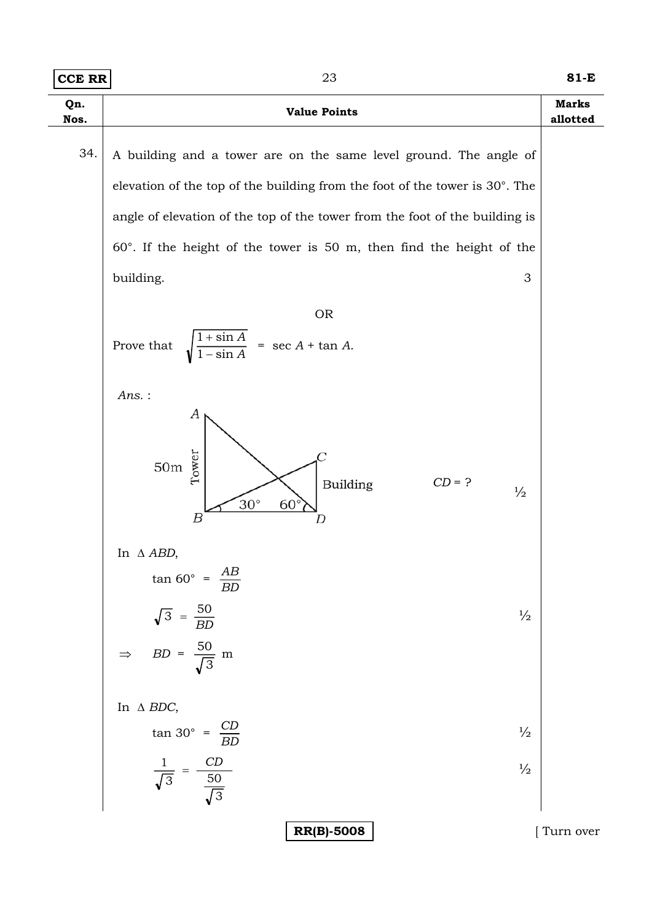| <b>CCE RR</b> | 23                                                                                                                                                                                                                                                                                                                                                                                                             | 81-E                     |
|---------------|----------------------------------------------------------------------------------------------------------------------------------------------------------------------------------------------------------------------------------------------------------------------------------------------------------------------------------------------------------------------------------------------------------------|--------------------------|
| Qn.<br>Nos.   | <b>Value Points</b>                                                                                                                                                                                                                                                                                                                                                                                            | <b>Marks</b><br>allotted |
| 34.           | A building and a tower are on the same level ground. The angle of<br>elevation of the top of the building from the foot of the tower is 30°. The<br>angle of elevation of the top of the tower from the foot of the building is<br>$60^\circ$ . If the height of the tower is 50 m, then find the height of the<br>building.<br>3<br><b>OR</b><br>$\frac{1+\sin A}{1-\sin A} = \sec A + \tan A.$<br>Prove that |                          |
|               | $Ans.$ :<br>А<br>Tower<br>$50\mathrm{m}$<br>$CD = ?$<br>Building<br>$\frac{1}{2}$<br>$30^\circ$<br>$60^\circ$<br>Β                                                                                                                                                                                                                                                                                             |                          |
|               | In $\triangle ABD$ ,<br>$\tan 60^\circ = \frac{AB}{BD}$<br>$\sqrt{3} = \frac{50}{BD}$<br>$\Rightarrow BD = \frac{50}{\sqrt{3}}$ m<br>$\frac{1}{2}$                                                                                                                                                                                                                                                             |                          |
|               | In $\triangle$ BDC,<br>$\tan 30^{\circ} = \frac{CD}{BD}$<br>$\frac{1}{2}$<br>$\frac{1}{\sqrt{3}} = \frac{CD}{\frac{50}{\sqrt{3}}}$<br>$\frac{1}{2}$                                                                                                                                                                                                                                                            |                          |
|               | <b>RR(B)-5008</b>                                                                                                                                                                                                                                                                                                                                                                                              | Turn over                |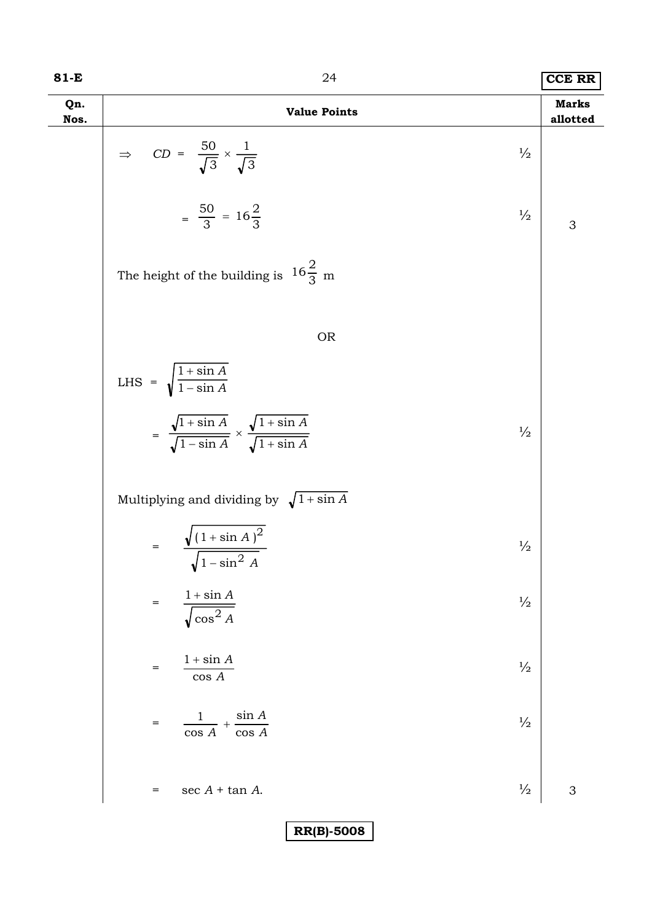| 81-E        | 24                                                                                                          | <b>CCE RR</b>            |
|-------------|-------------------------------------------------------------------------------------------------------------|--------------------------|
| Qn.<br>Nos. | <b>Value Points</b>                                                                                         | <b>Marks</b><br>allotted |
|             | $\Rightarrow CD = \frac{50}{\sqrt{3}} \times \frac{1}{\sqrt{3}}$<br>$\frac{1}{2}$                           |                          |
|             | $=\frac{50}{3} = 16\frac{2}{3}$<br>$\frac{1}{2}$                                                            | 3                        |
|             | The height of the building is $16\frac{2}{3}$ m                                                             |                          |
|             | <b>OR</b>                                                                                                   |                          |
|             | LHS = $\sqrt{\frac{1 + \sin A}{1 - \sin A}}$                                                                |                          |
|             | $= \frac{\sqrt{1+\sin A}}{\sqrt{1-\sin A}} \times \frac{\sqrt{1+\sin A}}{\sqrt{1+\sin A}}$<br>$\frac{1}{2}$ |                          |
|             | Multiplying and dividing by $\sqrt{1 + \sin A}$                                                             |                          |
|             | = $\frac{\sqrt{(1 + \sin A)^2}}{\sqrt{1 - \sin^2 A}}$<br>$\frac{1}{2}$                                      |                          |
|             | $1+\sin A$<br>$\frac{1}{2}$<br>$=$<br>$\sqrt{\cos^2 A}$                                                     |                          |
|             | $1 + \sin A$<br>$\frac{1}{2}$<br>$=$<br>$\cos\,A$                                                           |                          |
|             | $\frac{1}{\cos A} + \frac{\sin A}{\cos A}$<br>$\frac{1}{2}$<br>$=$<br>$\overline{\cos A}$                   |                          |
|             | $\frac{1}{2}$<br>$\sec A + \tan A$ .<br>$=$                                                                 | 3                        |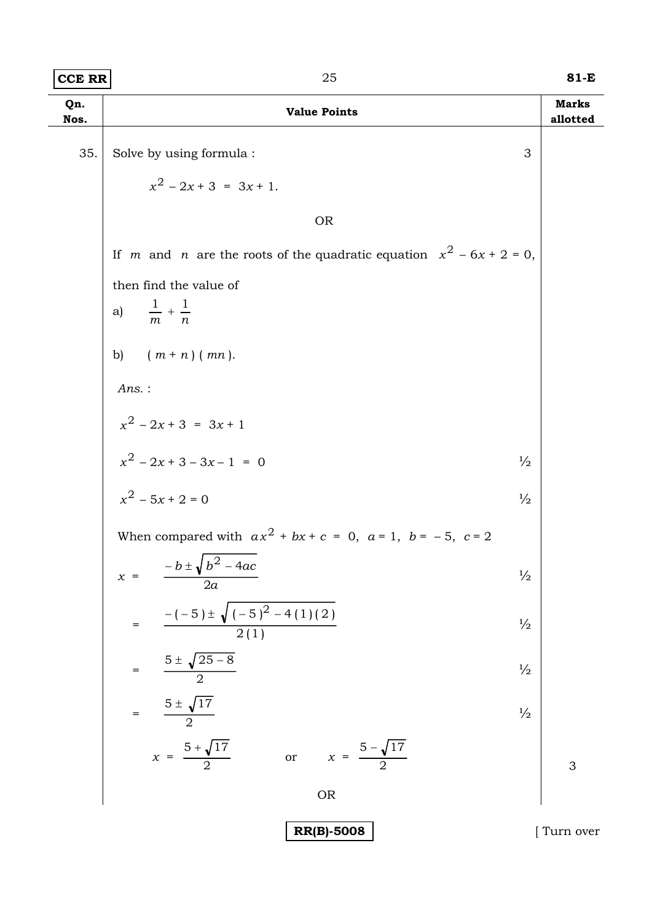| $ {\rm CCE}$ RR $ $ | ת ר | 81-E |
|---------------------|-----|------|
|                     |     |      |

| Qn.<br>Nos. | <b>Value Points</b>                                                                   | <b>Marks</b><br>allotted |
|-------------|---------------------------------------------------------------------------------------|--------------------------|
| 35.         | Solve by using formula :<br>3                                                         |                          |
|             | $x^2$ – 2x + 3 = 3x + 1.                                                              |                          |
|             | <b>OR</b>                                                                             |                          |
|             | If <i>m</i> and <i>n</i> are the roots of the quadratic equation $x^2 - 6x + 2 = 0$ , |                          |
|             | then find the value of<br>$\frac{1}{m} + \frac{1}{n}$<br>a)                           |                          |
|             | b) $(m + n) (mn)$ .                                                                   |                          |
|             | $Ans.$ :                                                                              |                          |
|             | $x^2 - 2x + 3 = 3x + 1$                                                               |                          |
|             | $x^2 - 2x + 3 - 3x - 1 = 0$<br>$\frac{1}{2}$                                          |                          |
|             | $x^2$ – 5x + 2 = 0<br>$\frac{1}{2}$                                                   |                          |
|             | When compared with $ax^2 + bx + c = 0$ , $a = 1$ , $b = -5$ , $c = 2$                 |                          |
|             | $-b \pm \sqrt{b^2 - 4ac}$<br>$\frac{1}{2}$<br>$x =$<br>2a                             |                          |
|             | $=$ $\frac{-(-5) \pm \sqrt{(-5)^2 - 4(1)(2)}}{2(1)}$<br>$\frac{1}{2}$                 |                          |
|             | $= \frac{5 \pm \sqrt{25 - 8}}{2}$<br>$\frac{1}{2}$                                    |                          |
|             | $=\frac{5\pm\sqrt{17}}{2}$<br>$\frac{1}{2}$                                           |                          |
|             | $x = \frac{5 + \sqrt{17}}{2}$<br>or $x = \frac{5 - \sqrt{17}}{2}$                     | 3                        |
|             | <b>OR</b>                                                                             |                          |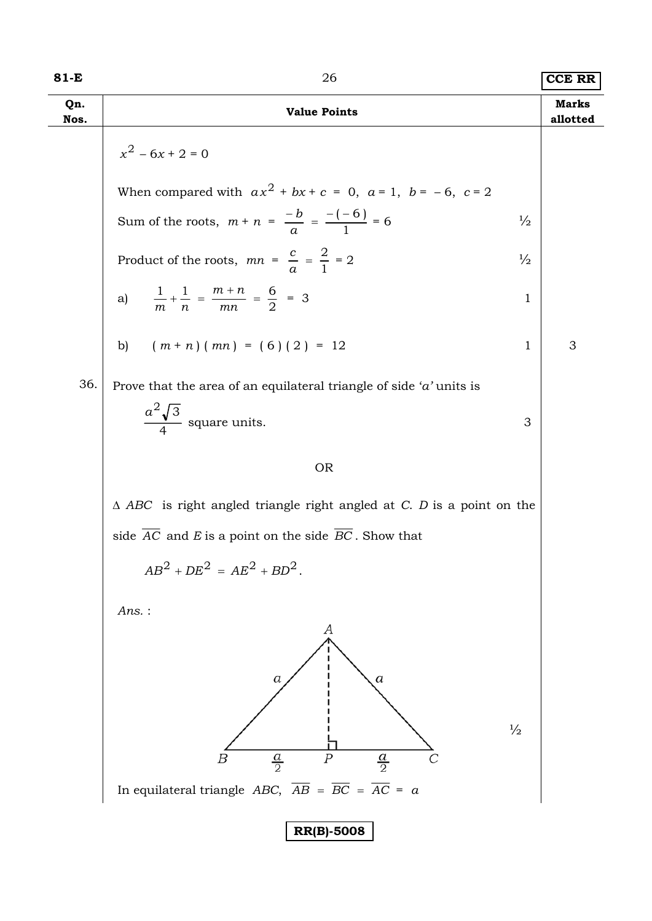| 81-E        | 26                                                                                       | <b>CCE RR</b>            |
|-------------|------------------------------------------------------------------------------------------|--------------------------|
| Qn.<br>Nos. | <b>Value Points</b>                                                                      | <b>Marks</b><br>allotted |
|             | $x^2 - 6x + 2 = 0$                                                                       |                          |
|             | When compared with $ax^2 + bx + c = 0$ , $a = 1$ , $b = -6$ , $c = 2$                    |                          |
|             | Sum of the roots, $m + n = \frac{-b}{a} = \frac{-(-6)}{1} = 6$<br>$\frac{1}{2}$          |                          |
|             | Product of the roots, $mn = \frac{c}{a} = \frac{2}{1} = 2$<br>$\frac{1}{2}$              |                          |
|             | a) $\frac{1}{m} + \frac{1}{n} = \frac{m+n}{mn} = \frac{6}{2} = 3$<br>$\mathbf 1$         |                          |
|             | b) $(m+n)(mn) = (6)(2) = 12$<br>1                                                        | 3                        |
| 36.         | Prove that the area of an equilateral triangle of side ' $a$ ' units is                  |                          |
|             | $rac{a^2\sqrt{3}}{4}$ square units.<br>3                                                 |                          |
|             | <b>OR</b>                                                                                |                          |
|             | $\triangle$ ABC is right angled triangle right angled at C. D is a point on the          |                          |
|             | side $AC$ and $E$ is a point on the side $BC$ . Show that                                |                          |
|             | $AB^{2} + DE^{2} = AE^{2} + BD^{2}.$                                                     |                          |
|             | $Ans.$ :                                                                                 |                          |
|             | А<br>a<br>а                                                                              |                          |
|             | $\frac{1}{2}$<br>$\frac{a}{2}$<br>$\boldsymbol{P}$<br>$\frac{a}{2}$<br>Β                 |                          |
|             | In equilateral triangle <i>ABC</i> , $\overline{AB} = \overline{BC} = \overline{AC} = a$ |                          |
|             | <b>RR(B)-5008</b>                                                                        |                          |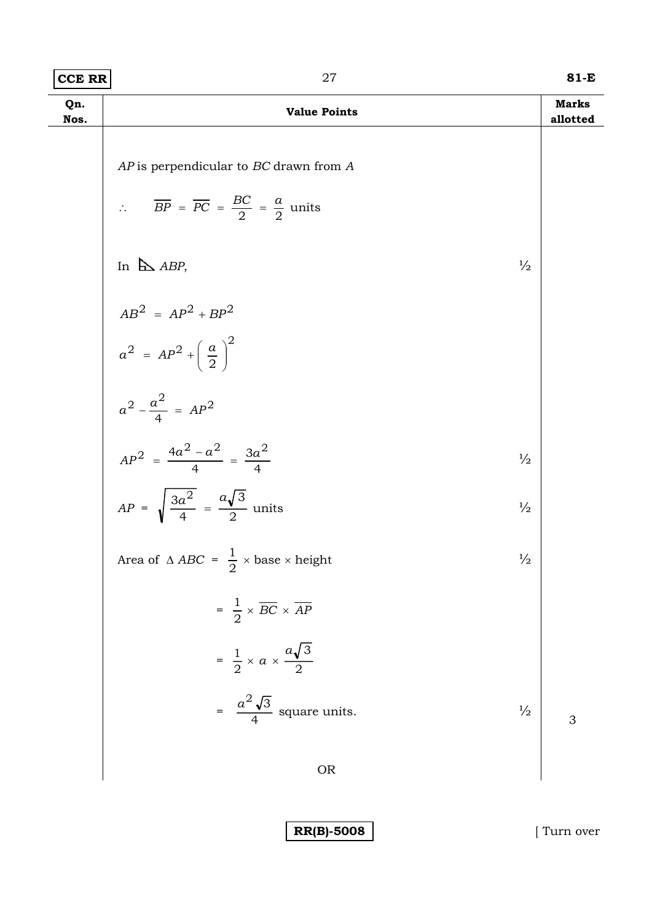| CCE RR | 81-E |
|--------|------|
|        |      |

| Qn.<br>Nos. | <b>Value Points</b>                                                                                                       | <b>Marks</b><br>allotted |
|-------------|---------------------------------------------------------------------------------------------------------------------------|--------------------------|
|             | AP is perpendicular to BC drawn from A<br>$\therefore$ $\overline{BP} = \overline{PC} = \frac{BC}{2} = \frac{a}{2}$ units |                          |
|             | In $\triangle$ ABP,<br>$\frac{1}{2}$                                                                                      |                          |
|             |                                                                                                                           |                          |
|             | $AB^2 = AP^2 + BP^2$<br>$a^2 = AP^2 + \left(\frac{a}{2}\right)^2$                                                         |                          |
|             | $a^2 - \frac{a^2}{4} = AP^2$<br>$AP^2 = \frac{4a^2 - a^2}{4} = \frac{3a^2}{4}$                                            |                          |
|             | $\frac{1}{2}$                                                                                                             |                          |
|             | $AP = \sqrt{\frac{3a^2}{4}} = \frac{a\sqrt{3}}{2}$ units<br>$\frac{1}{2}$                                                 |                          |
|             | Area of $\triangle ABC = \frac{1}{2} \times \text{base} \times \text{height}$<br>$\frac{1}{2}$                            |                          |
|             | $= \frac{1}{2} \times \overline{BC} \times \overline{AP}$                                                                 |                          |
|             | $=\frac{1}{2} \times a \times \frac{a\sqrt{3}}{2}$                                                                        |                          |
|             | = $\frac{a^2\sqrt{3}}{4}$ square units.<br>$\frac{1}{2}$                                                                  | 3                        |
|             | <b>OR</b>                                                                                                                 |                          |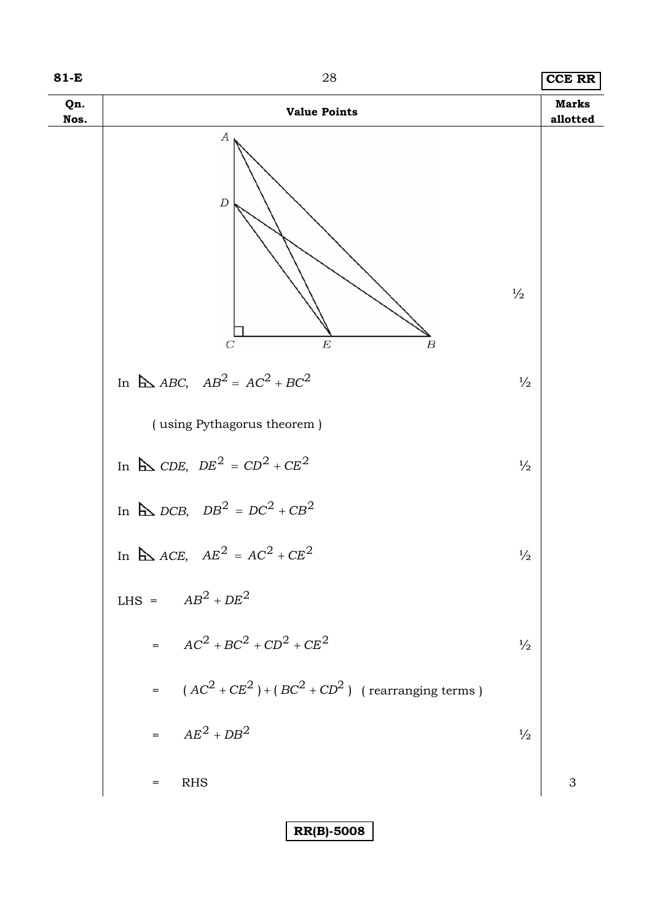

**81-E** 28 **CCE RR**

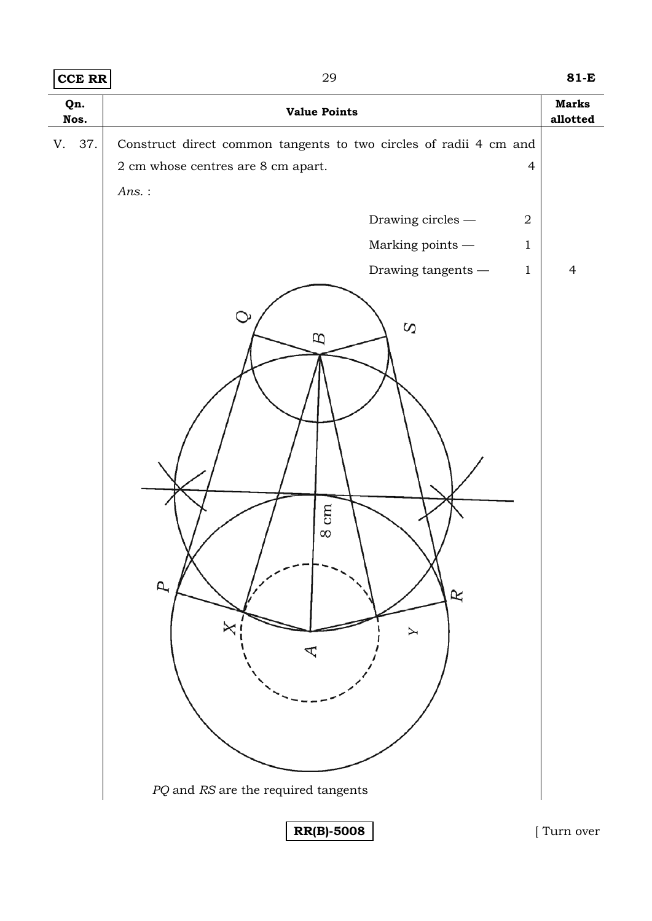| <b>CCE RR</b> | 29                                                                                                                                                   | $81-E$                   |
|---------------|------------------------------------------------------------------------------------------------------------------------------------------------------|--------------------------|
| Qn.<br>Nos.   | <b>Value Points</b>                                                                                                                                  | <b>Marks</b><br>allotted |
| V. 37.        | Construct direct common tangents to two circles of radii 4 cm and<br>$2\ {\rm cm}$ whose centres are $8\ {\rm cm}$ apart.<br>$\overline{4}$<br>Ans.: |                          |
|               | Drawing circles $-$<br>$\boldsymbol{2}$                                                                                                              |                          |
|               | Marking points $-\!$<br>$\mathbf{1}$                                                                                                                 |                          |
|               | Drawing tangents $-\,$<br>$\mathbf{1}$                                                                                                               | $\overline{4}$           |
|               | $\mathbf{\circ}$<br>$\Omega$<br>B<br>cm<br>$\infty$<br>$\overline{p}$<br>R<br>╳<br>Y<br>PQ and RS are the required tangents                          |                          |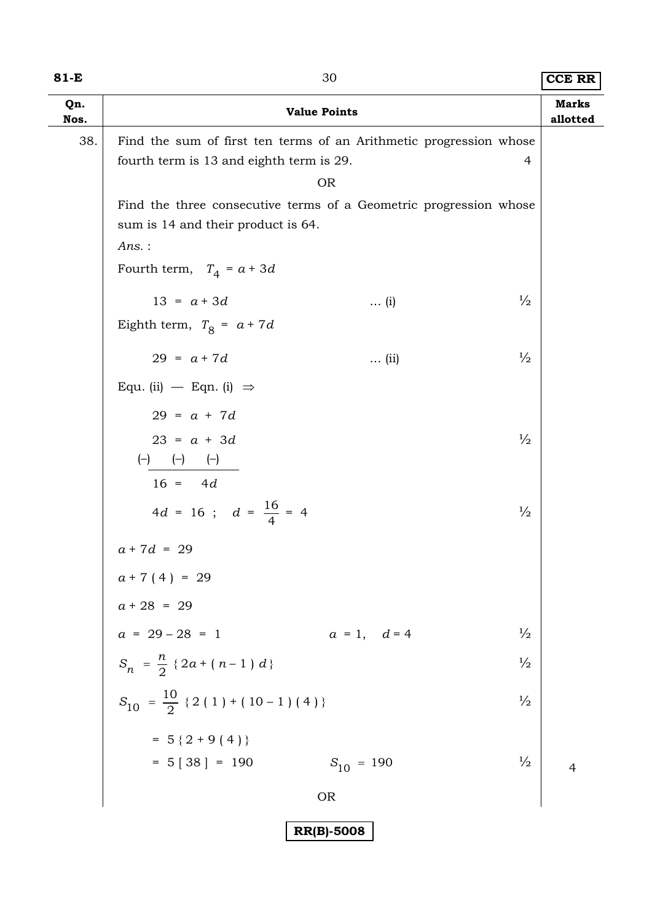| ۰,<br>×<br>۰. |  |  |
|---------------|--|--|
|---------------|--|--|

| 81-E        |                                                                                                                                               | 30                   |               | <b>CCE RR</b>            |
|-------------|-----------------------------------------------------------------------------------------------------------------------------------------------|----------------------|---------------|--------------------------|
| Qn.<br>Nos. |                                                                                                                                               | <b>Value Points</b>  |               | <b>Marks</b><br>allotted |
| 38.         | Find the sum of first ten terms of an Arithmetic progression whose                                                                            |                      |               |                          |
|             | fourth term is 13 and eighth term is 29.                                                                                                      |                      | 4             |                          |
|             |                                                                                                                                               | <b>OR</b>            |               |                          |
|             | Find the three consecutive terms of a Geometric progression whose<br>sum is 14 and their product is 64.                                       |                      |               |                          |
|             | Ans.:                                                                                                                                         |                      |               |                          |
|             | Fourth term, $T_4 = a + 3d$                                                                                                                   |                      |               |                          |
|             | $13 = a + 3d$                                                                                                                                 | $\ldots$ (i)         | $\frac{1}{2}$ |                          |
|             | Eighth term, $T_8 = a + 7d$                                                                                                                   |                      |               |                          |
|             | $29 = a + 7d$                                                                                                                                 | $\ldots$ (ii)        | $\frac{1}{2}$ |                          |
|             | Equ. (ii) $-$ Eqn. (i) $\Rightarrow$                                                                                                          |                      |               |                          |
|             | $29 = a + 7d$                                                                                                                                 |                      |               |                          |
|             | $23 = a + 3d$                                                                                                                                 |                      | $\frac{1}{2}$ |                          |
|             | $\left(\begin{matrix} -\end{matrix}\right) \qquad \left(\begin{matrix} -\end{matrix}\right) \qquad \left(\begin{matrix} -\end{matrix}\right)$ |                      |               |                          |
|             | $16 = 4d$                                                                                                                                     |                      |               |                          |
|             | $4d = 16$ ; $d = \frac{16}{4} = 4$                                                                                                            |                      | $\frac{1}{2}$ |                          |
|             | $a + 7d = 29$                                                                                                                                 |                      |               |                          |
|             | $a+7(4) = 29$<br>$a+28 = 29$                                                                                                                  |                      |               |                          |
|             |                                                                                                                                               |                      |               |                          |
|             | $a = 29 - 28 = 1$                                                                                                                             | $a = 1, \quad d = 4$ | $\frac{1}{2}$ |                          |
|             | $S_n = \frac{n}{2} \{2a + (n-1) d\}$                                                                                                          |                      | $\frac{1}{2}$ |                          |
|             | $S_{10} = \frac{10}{2}$ { 2 ( 1 ) + ( 10 – 1 ) ( 4 ) }                                                                                        |                      | $\frac{1}{2}$ |                          |
|             | $= 5 {2 + 9 (4)}$                                                                                                                             |                      |               |                          |
|             | $= 5 [38] = 190$                                                                                                                              | $S_{10} = 190$       | $\frac{1}{2}$ | $\overline{4}$           |
|             |                                                                                                                                               | <b>OR</b>            |               |                          |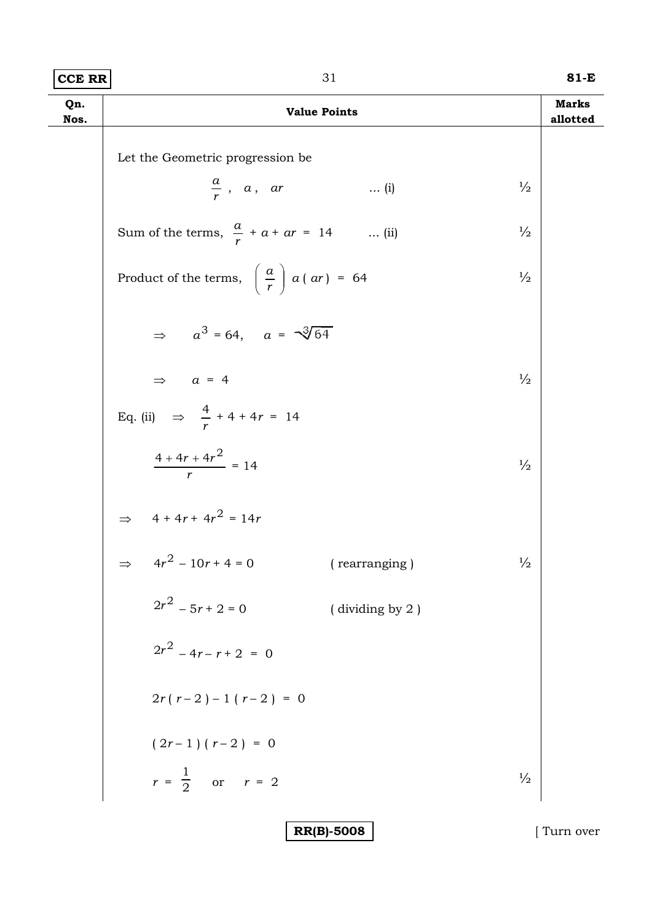| $ {\tt CCE}$ ${\tt RR} $ | 81-E |
|--------------------------|------|
|                          |      |

| Qn.<br>Nos. | <b>Value Points</b>                                          |               | <b>Marks</b><br>allotted |
|-------------|--------------------------------------------------------------|---------------|--------------------------|
|             | Let the Geometric progression be                             |               |                          |
|             | $\frac{a}{r}$ , a, ar<br>$\ldots$ (i)                        | $\frac{1}{2}$ |                          |
|             | Sum of the terms, $\frac{a}{r} + a + ar = 14$ (ii)           | $\frac{1}{2}$ |                          |
|             | Product of the terms, $\left(\frac{a}{r}\right) a (ar) = 64$ | $\frac{1}{2}$ |                          |
|             | $\Rightarrow a^3 = 64$ , $a = \sqrt[3]{64}$                  |               |                          |
|             | $\Rightarrow$ $a = 4$                                        | $\frac{1}{2}$ |                          |
|             | Eq. (ii) $\Rightarrow$ $\frac{4}{r} + 4 + 4r = 14$           |               |                          |
|             | $\frac{4+4r+4r^2}{r}=14$                                     | $\frac{1}{2}$ |                          |
|             | $\Rightarrow$ 4 + 4r + 4r <sup>2</sup> = 14r                 |               |                          |
|             | $\Rightarrow \quad 4r^2 - 10r + 4 = 0$<br>(rearranging)      | $\frac{1}{2}$ |                          |
|             | $2r^2 - 5r + 2 = 0$<br>(dividing by 2)                       |               |                          |
|             | $2r^2 - 4r - r + 2 = 0$                                      |               |                          |
|             | $2r(r-2)-1(r-2) = 0$                                         |               |                          |
|             | $(2r-1)(r-2) = 0$                                            |               |                          |
|             | $r = \frac{1}{2}$ or $r = 2$                                 | $\frac{1}{2}$ |                          |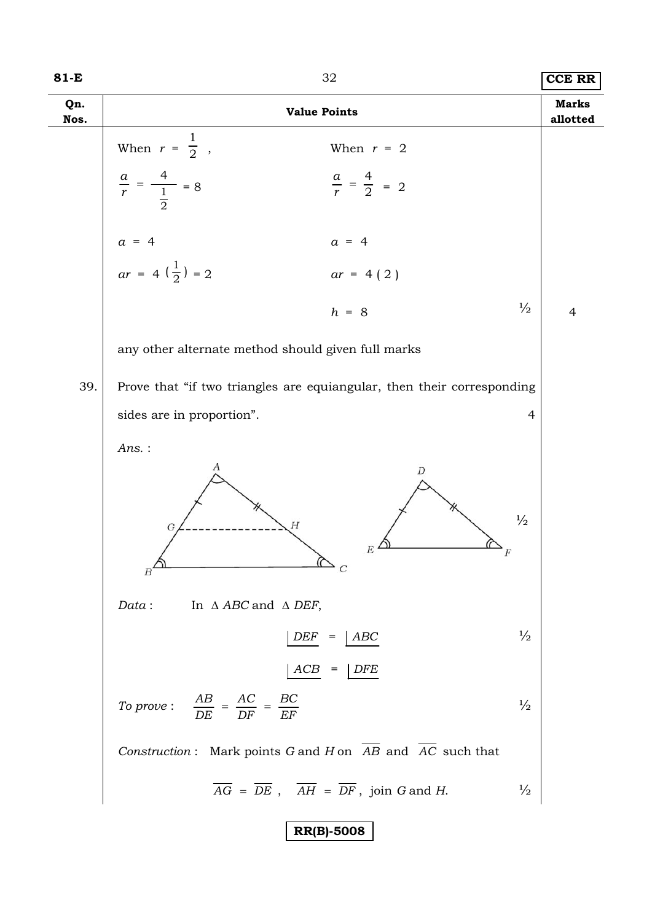# **81-E** 32 **CCE RR**

| Qn.<br>Nos. | <b>Value Points</b>                                                                |                                                                                                        | <b>Marks</b><br>allotted |
|-------------|------------------------------------------------------------------------------------|--------------------------------------------------------------------------------------------------------|--------------------------|
|             | When $r = \frac{1}{2}$ ,                                                           | When $r = 2$                                                                                           |                          |
|             | $\frac{a}{r} = \frac{4}{\frac{1}{2}} = 8$                                          | $\frac{a}{r} = \frac{4}{2} = 2$                                                                        |                          |
|             |                                                                                    | $a = 4$                                                                                                |                          |
|             | $a = 4$<br>$ar = 4(\frac{1}{2}) = 2$                                               | $ar = 4(2)$                                                                                            |                          |
|             |                                                                                    | $\frac{1}{2}$<br>$h = 8$                                                                               | $\overline{4}$           |
|             | any other alternate method should given full marks                                 |                                                                                                        |                          |
| 39.         | Prove that "if two triangles are equiangular, then their corresponding             |                                                                                                        |                          |
|             | sides are in proportion".<br>$\overline{4}$                                        |                                                                                                        |                          |
|             | Ans.:<br>А<br>Н<br>G                                                               | D<br>$\frac{1}{2}$<br>$E^2$<br>C                                                                       |                          |
|             | In $\triangle$ ABC and $\triangle$ DEF,<br>Data:                                   |                                                                                                        |                          |
|             | DEF                                                                                | $\frac{1}{2}$<br>ABC<br>$=$                                                                            |                          |
|             | ACB                                                                                | <b>DFE</b><br>$=$                                                                                      |                          |
|             | To prove: $\frac{AB}{DE} = \frac{AC}{DF} = \frac{BC}{EF}$                          | $\frac{1}{2}$                                                                                          |                          |
|             | Construction: Mark points G and H on $\overline{AB}$ and $\overline{AC}$ such that |                                                                                                        |                          |
|             |                                                                                    | $\overline{AG}$ = $\overline{DE}$ , $\overline{AH}$ = $\overline{DF}$ , join G and H.<br>$\frac{1}{2}$ |                          |
|             |                                                                                    | <b>RR(B)-5008</b>                                                                                      |                          |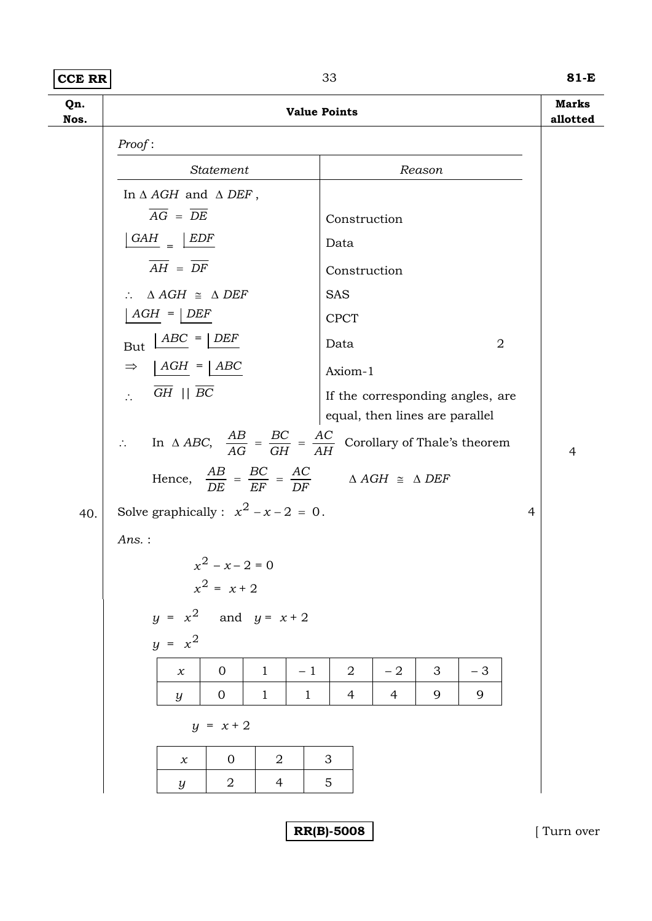### **CCE RR 81-E**

**Qn. Nos. Value Points Marks allotted**  *Proof* : *Statement Reason*  In Δ *AGH* and Δ *DEF* ,  $\overline{AG} = \overline{DE}$  Construction *GAH*  $=$   $\frac{EDF}{P}$ Data  $\overline{AH} = \overline{DF}$  Construction ∴  $\triangle AGH \cong \triangle DEF$  SAS  $\boxed{AGH} = \boxed{DEF}$  CPCT  $But \ \frac{\text{ABC}}{\text{D}} = \frac{\text{DEF}}{\text{D}}$  Data 2  $\Rightarrow$   $\begin{array}{c|c}\n\end{array} \begin{array}{c|c}\n\end{array} \begin{array}{c}\n\end{array} \begin{array}{c}\n\end{array} \begin{array}{c}\n\end{array} \begin{array}{c}\n\end{array} \begin{array}{c}\n\end{array} \begin{array}{c}\n\end{array} \begin{array}{c}\n\end{array} \begin{array}{c}\n\end{array} \begin{array}{c}\n\end{array} \begin{array}{c}\n\end{array} \begin{array}{c}\n\end{array} \begin{array}{c}\n\end{array} \begin{array}{c}\n\end{array} \begin{array}{c}\n\end{array} \begin{$  $\overline{GH}$  ||  $\overline{BC}$  If the corresponding angles, are equal, then lines are parallel ∴ In  $\triangle ABC$ ,  $\frac{AB}{AG} = \frac{BC}{GH} = \frac{AC}{AH}$ *GH BC*  $\frac{AB}{AG} = \frac{BC}{GH} = \frac{AC}{AH}$  Corollary of Thale's theorem 4 Hence,  $\frac{AB}{DE} = \frac{BC}{EF} = \frac{AC}{DF}$ *EF BC*  $\frac{AB}{DE} = \frac{BC}{EF} = \frac{AC}{DF}$   $\Delta AGH \cong \Delta DEF$ 40. Solve graphically :  $x^2 - x - 2 = 0$ . 4 *Ans.* :  $x^2 - x - 2 = 0$  $x^2 = x + 2$ *y* =  $x^2$  and *y* =  $x + 2$  $y = x^2$ *x* | 0 | 1 | -1 | 2 | -2 | 3 | -3 *y* | 0 | 1 | 1 | 4 | 4 | 9 | 9  $y = x + 2$ *x* 0 2 3 *y* 2 4 5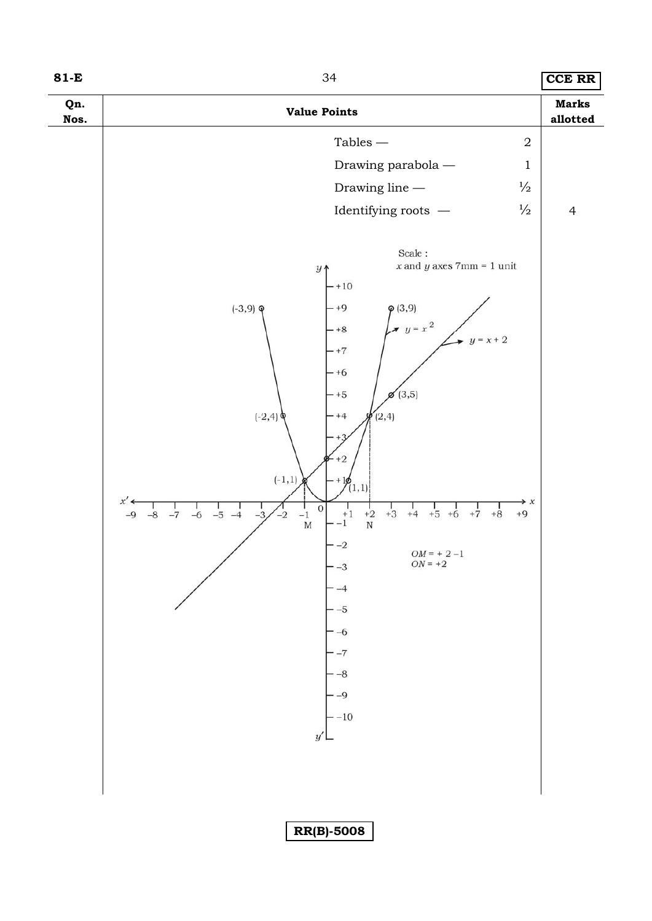| ٦<br>×<br>۰. |  |  |
|--------------|--|--|
|--------------|--|--|

**81-E** CCE RR